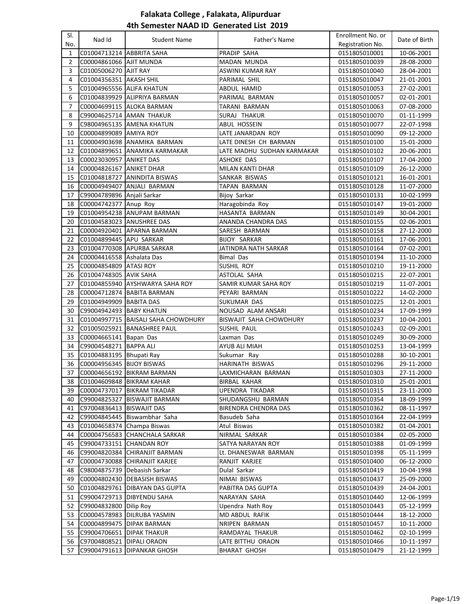| SI.            | Nad Id                      | <b>Student Name</b>                 | Father's Name              | Enrollment No. or | Date of Birth |
|----------------|-----------------------------|-------------------------------------|----------------------------|-------------------|---------------|
| No.            |                             |                                     |                            | Registration No.  |               |
| $\mathbf{1}$   | C01004713214 ABBRITA SAHA   |                                     | PRADIP SAHA                | 0151805010001     | 10-06-2001    |
| $\overline{2}$ | C00004861066 AJIT MUNDA     |                                     | MADAN MUNDA                | 0151805010039     | 28-08-2000    |
| 3              | C01005006270 AJIT RAY       |                                     | <b>ASWINI KUMAR RAY</b>    | 0151805010040     | 28-04-2001    |
| 4              | C01004356351 AKASH SHIL     |                                     | PARIMAL SHIL               | 0151805010047     | 21-01-2001    |
| 5              | C01004965556 ALIFA KHATUN   |                                     | ABDUL HAMID                | 0151805010053     | 27-02-2001    |
| 6              |                             | C01004839929 ALIPRIYA BARMAN        | PARIMAL BARMAN             | 0151805010057     | 02-01-2001    |
| $\overline{7}$ |                             | C00004699115 ALOKA BARMAN           | TARANI BARMAN              | 0151805010063     | 07-08-2000    |
| 8              |                             | C99004625714 AMAN THAKUR            | SURAJ THAKUR               | 0151805010070     | 01-11-1999    |
| 9              |                             | C98004965135 AMENA KHATUN           | ABUL HOSSEIN               | 0151805010077     | 22-07-1998    |
| 10             | C00004899089 AMIYA ROY      |                                     | LATE JANARDAN ROY          | 0151805010090     | 09-12-2000    |
| 11             |                             | C00004903698 ANAMIKA BARMAN         | LATE DINESH CH BARMAN      | 0151805010100     | 15-01-2000    |
| 12             |                             | C01004899651 ANAMIKA KARMAKAR       | LATE MADHU SUDHAN KARMAKAR | 0151805010102     | 20-06-2001    |
| 13             | C00023030957 ANIKET DAS     |                                     | <b>ASHOKE DAS</b>          | 0151805010107     | 17-04-2000    |
| 14             | C00004826167 ANIKET DHAR    |                                     | MILAN KANTI DHAR           | 0151805010109     | 26-12-2000    |
| 15             |                             | C01004818727 ANINDITA BISWAS        | SANKAR BISWAS              | 0151805010121     | 16-01-2001    |
| 16             | C00004949407                | ANJALI BARMAN                       | TAPAN BARMAN               | 0151805010128     | 11-07-2000    |
| 17             | C99004789896 Anjali Sarkar  |                                     | Bijoy Sarkar               | 0151805010131     | 10-02-1999    |
| 18             | C00004742377 Anup Roy       |                                     | Haragobinda Roy            | 0151805010147     | 19-01-2000    |
| 19             |                             | C01004954238 ANUPAM BARMAN          | HASANTA BARMAN             | 0151805010149     | 30-04-2001    |
| 20             |                             | C01004583023 ANUSHREE DAS           | ANANDA CHANDRA DAS         | 0151805010155     | 02-06-2001    |
| 21             |                             | C00004920401 APARNA BARMAN          | SARESH BARMAN              | 0151805010158     | 27-12-2000    |
| 22             | C01004899445 APU SARKAR     |                                     | <b>BIJOY SARKAR</b>        | 0151805010161     | 17-06-2001    |
| 23             |                             | C01004770308 APURBA SARKAR          | JATINDRA NATH SARKAR       | 0151805010164     | 07-02-2001    |
| 24             | C00004416558 Ashalata Das   |                                     | Bimal Das                  | 0151805010194     | 11-10-2000    |
| 25             | C00004854809 ATASI ROY      |                                     | SUSHIL ROY                 | 0151805010210     | 19-11-2000    |
| 26             | C01004748305 AVIK SAHA      |                                     | ASTOLAL SAHA               | 0151805010215     | 22-07-2001    |
| 27             |                             | C01004855940 AYSHWARYA SAHA ROY     | SAMIR KUMAR SAHA ROY       | 0151805010219     | 11-07-2001    |
| 28             |                             | C00004712874 BABITA BARMAN          | PEYARI BARMAN              | 0151805010222     | 14-02-2000    |
| 29             | C01004949909 BABITA DAS     |                                     | SUKUMAR DAS                | 0151805010225     | 12-01-2001    |
| 30             | C99004942493 BABY KHATUN    |                                     | NOUSAD ALAM ANSARI         | 0151805010234     | 17-09-1999    |
| 31             |                             | C01004997715 BAISALI SAHA CHOWDHURY | BISWAJIT SAHA CHOWDHURY    | 0151805010237     | 10-04-2001    |
| 32             |                             | C01005025921  BANASHREE PAUL        | <b>SUSHIL PAUL</b>         | 0151805010243     | 02-09-2001    |
| 33             | C00004665141 Bapan Das      |                                     | Laxman Das                 | 0151805010249     | 30-09-2000    |
| 34             | C99004548271 BAPPA ALI      |                                     | AYUB ALI MIAH              | 0151805010253     | 13-04-1999    |
| 35             | C01004883195   Bhupati Ray  |                                     | Sukumar Ray                | 0151805010288     | 30-10-2001    |
| 36             | C00004956345 BIJOY BISWAS   |                                     | <b>HARINATH BISWAS</b>     | 0151805010296     | 29-11-2000    |
|                |                             | 37 C00004656192 BIKRAM BARMAN       | LAXMICHARAN BARMAN         | 0151805010303     | 27-11-2000    |
| 38             |                             | C01004609848 BIKRAM KAHAR           | BIRBAL KAHAR               | 0151805010310     | 25-01-2001    |
| 39             |                             | C00004737017 BIKRAM TIKADAR         | UPENDRA TIKADAR            | 0151805010315     | 23-11-2000    |
| 40             | C99004825327                | <b>BISWAJIT BARMAN</b>              | SHUDANGSHU BARMAN          | 0151805010354     | 18-09-1999    |
| 41             | C97004836413   BISWAJIT DAS |                                     | BIRENDRA CHENDRA DAS       | 0151805010362     | 08-11-1997    |
| 42             |                             | C99004845445 Biswambhar Saha        | Basudeb Saha               | 0151805010364     | 22-04-1999    |
| 43             |                             | C01004658374 Champa Biswas          | Atul Biswas                | 0151805010382     | 01-04-2001    |
| 44             |                             | C00004756583 CHANCHALA SARKAR       | NIRMAL SARKAR              | 0151805010384     | 02-05-2000    |
| 45             | C99004733151 CHANDAN ROY    |                                     | SATYA NARAYAN ROY          | 0151805010388     | 01-09-1999    |
| 46             |                             | C99004820384 CHIRANJIT BARMAN       | Lt. DHANESWAR BARMAN       | 0151805010398     | 05-11-1999    |
| 47             |                             | C00004730088 CHIRANJIT KARJEE       | RANJIT KARJEE              | 0151805010400     | 06-12-2000    |
| 48             |                             | C98004875739 Debasish Sarkar        | Dulal Sarkar               | 0151805010419     | 10-04-1998    |
| 49             |                             | C00004802430   DEBASISH BISWAS      | NIMAI BISWAS               | 0151805010437     | 25-09-2000    |
| 50             |                             | C01004829761 DIBAYAN DAS GUPTA      | PABITRA DAS GUPTA          | 0151805010439     | 24-04-2001    |
| 51             |                             | C99004729713   DIBYENDU SAHA        | NARAYAN SAHA               | 0151805010440     | 12-06-1999    |
| 52             | C99004832800 Dilip Roy      |                                     | Upendra Nath Roy           | 0151805010443     | 05-12-1999    |
| 53             |                             | C00004578983 DILRUBA YASMIN         | MD ABDUL RAFIK             | 0151805010444     | 18-12-2000    |
| 54             |                             | C00004899475   DIPAK BARMAN         | NRIPEN BARMAN              | 0151805010457     | 10-11-2000    |
| 55             | C99004706651   DIPAK THAKUR |                                     | RAMDAYAL THAKUR            | 0151805010462     | 02-10-1999    |
| 56             | C97004808521                | <b>DIPALI ORAON</b>                 | LATE BITTHU ORAON          | 0151805010466     | 10-11-1997    |
| 57             | C99004791613                | <b>DIPANKAR GHOSH</b>               | <b>BHARAT GHOSH</b>        | 0151805010479     | 21-12-1999    |
|                |                             |                                     |                            |                   |               |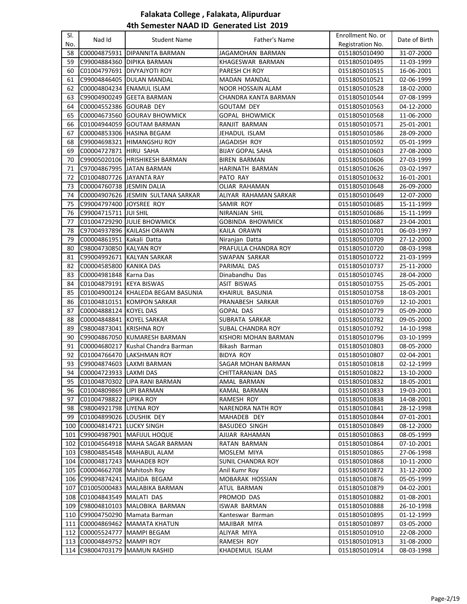| SI.<br>No. | Nad Id                        | <b>Student Name</b>                                  | Father's Name               | Enrollment No. or<br>Registration No. | Date of Birth               |
|------------|-------------------------------|------------------------------------------------------|-----------------------------|---------------------------------------|-----------------------------|
| 58         | C00004875931                  | <b>DIPANNITA BARMAN</b>                              | JAGAMOHAN BARMAN            | 0151805010490                         | 31-07-2000                  |
| 59         |                               | C99004884360 DIPIKA BARMAN                           | KHAGESWAR BARMAN            | 0151805010495                         | 11-03-1999                  |
| 60         |                               | C01004797691 DIVYAJYOTI ROY                          | PARESH CH ROY               | 0151805010515                         | 16-06-2001                  |
| 61         |                               | C99004846405   DULAN MANDAL                          | MADAN MANDAL                | 0151805010521                         | 02-06-1999                  |
| 62         |                               | C00004804234 ENAMUL ISLAM                            | <b>NOOR HOSSAIN ALAM</b>    | 0151805010528                         | 18-02-2000                  |
| 63         |                               | C99004900249 GEETA BARMAN                            | CHANDRA KANTA BARMAN        |                                       |                             |
|            |                               |                                                      |                             | 0151805010544                         | 07-08-1999<br>04-12-2000    |
| 64         | C00004552386 GOURAB DEY       |                                                      | <b>GOUTAM DEY</b>           | 0151805010563                         |                             |
| 65         | C00004673560                  | <b>GOURAV BHOWMICK</b>                               | <b>GOPAL BHOWMICK</b>       | 0151805010568                         | 11-06-2000                  |
| 66         | C01004944059                  | <b>GOUTAM BARMAN</b>                                 | RANJIT BARMAN               | 0151805010571                         | 25-01-2001                  |
| 67         |                               | C00004853306 HASINA BEGAM                            | JEHADUL ISLAM               | 0151805010586                         | 28-09-2000                  |
| 68         |                               | C99004698321 HIMANGSHU ROY                           | JAGADISH ROY                | 0151805010592                         | 05-01-1999                  |
| 69         | C00004727871 HIRU SAHA        |                                                      | <b>BIJAY GOPAL SAHA</b>     | 0151805010603                         | 27-08-2000                  |
| 70         |                               | C99005020106 HRISHIKESH BARMAN                       | <b>BIREN BARMAN</b>         | 0151805010606                         | 27-03-1999                  |
| 71         |                               | C97004867995 JJATAN BARMAN                           | HARINATH BARMAN             | 0151805010626                         | 03-02-1997                  |
| 72         | C01004807726 JJAYANTA RAY     |                                                      | PATO RAY                    | 0151805010632                         | 16-01-2001                  |
| 73         | C00004760738 JJESMIN DALIA    |                                                      | <b>OLIAR RAHAMAN</b>        | 0151805010648                         | 26-09-2000                  |
| 74         |                               | C00004907626 JJESMIN SULTANA SARKAR                  | ALIYAR RAHAMAN SARKAR       | 0151805010649                         | 12-07-2000                  |
| 75         | C99004797400 JOYSREE ROY      |                                                      | SAMIR ROY                   | 0151805010685                         | 15-11-1999                  |
| 76         | C99004715711 JUI SHIL         |                                                      | NIRANJAN SHIL               | 0151805010686                         | 15-11-1999                  |
| 77         |                               | C01004729290 JJULIE BHOWMICK                         | <b>GOBINDA BHOWMICK</b>     | 0151805010687                         | 23-04-2001                  |
| 78         |                               | C97004937896 KAILASH ORAWN                           | KAILA ORAWN                 | 0151805010701                         | 06-03-1997                  |
| 79         | C00004861951 Kakali Datta     |                                                      | Niranjan Datta              | 0151805010709                         | 27-12-2000                  |
| 80         | C98004730850 KALYAN ROY       |                                                      | PRAFULLA CHANDRA ROY        | 0151805010720                         | 08-03-1998                  |
| 81         |                               | C99004992671 KALYAN SARKAR                           | SWAPAN SARKAR               | 0151805010722                         | 21-03-1999                  |
| 82         | C00004585800 KANIKA DAS       |                                                      | PARIMAL DAS                 | 0151805010737                         | 25-11-2000                  |
| 83         | C00004981848 Karna Das        |                                                      | Dinabandhu Das              | 0151805010745                         | 28-04-2000                  |
| 84         | C01004879191 KEYA BISWAS      |                                                      | ASIT BISWAS                 | 0151805010755                         | 25-05-2001                  |
| 85         |                               | C01004900124 KHALEDA BEGAM BASUNIA                   | KHAIRUL BASUNIA             | 0151805010758                         | 18-03-2001                  |
| 86         | C01004810151                  | <b>KOMPON SARKAR</b>                                 | PRANABESH SARKAR            | 0151805010769                         | 12-10-2001                  |
| 87         | C00004888124 KOYEL DAS        |                                                      | <b>GOPAL DAS</b>            | 0151805010779                         | 05-09-2000                  |
| 88         | C00004848841 KOYEL SARKAR     |                                                      | SUBRATA SARKAR              | 0151805010782                         | 09-05-2000                  |
| 89         | C98004873041 KRISHNA ROY      |                                                      | SUBAL CHANDRA ROY           | 0151805010792                         | 14-10-1998                  |
| 90         |                               | C99004867050 KUMARESH BARMAN                         | KISHORI MOHAN BARMAN        | 0151805010796                         | 03-10-1999                  |
| 91         | C00004680217                  | Kushal Chandra Barman                                | Bikash Barman               | 0151805010803                         | 08-05-2000                  |
| 92         | C01004766470                  | <b>LAKSHMAN ROY</b>                                  | <b>BIDYA ROY</b>            | 0151805010807                         | 02-04-2001                  |
| 93         |                               | C99004874603 LAXMI BARMAN                            | <b>SAGAR MOHAN BARMAN</b>   | 0151805010818                         | 02-12-1999                  |
|            | 94 C00004723933 LAXMI DAS     |                                                      | <b>CHITTARANJAN DAS</b>     | 0151805010822                         | $\overline{13} - 10 - 2000$ |
| 95         |                               | C01004870302 LIPA RANI BARMAN                        | AMAL BARMAN                 | 0151805010832                         | 18-05-2001                  |
| 96         | C01004809869 LIPI BARMAN      |                                                      | KAMAL BARMAN                | 0151805010833                         | 19-03-2001                  |
| 97         | C01004798822 LIPIKA ROY       |                                                      | RAMESH ROY                  | 0151805010838                         | 14-08-2001                  |
| 98         | C98004921798 LIYENA ROY       |                                                      | NARENDRA NATH ROY           | 0151805010841                         | 28-12-1998                  |
| 99         | C01004899026 LOUSHIK DEY      |                                                      | MAHADEB DEY                 | 0151805010844                         | 07-01-2001                  |
| 100        | C00004814721 LUCKY SINGH      |                                                      | BASUDEO SINGH               | 0151805010849                         | 08-12-2000                  |
| 101        |                               | C99004987901   MAFIJUL HOQUE                         | AJIJAR RAHAMAN              | 0151805010863                         | 08-05-1999                  |
|            |                               | 102 C01004564918 MAHA SAGAR BARMAN                   | RATAN BARMAN                | 0151805010864                         | 07-10-2001                  |
|            |                               | 103 C98004854548 MAHABUL ALAM                        | MOSLEM MIYA                 | 0151805010865                         | 27-06-1998                  |
|            | 104 C00004817243 MAHADEB ROY  |                                                      | <b>SUNIL CHANDRA ROY</b>    | 0151805010868                         | 10-11-2000                  |
|            | 105 C00004662708 Mahitosh Roy |                                                      | Anil Kumr Roy               | 0151805010872                         | 31-12-2000                  |
|            |                               | 106 C99004874241 MAJIDA BEGAM                        | MOBARAK HOSSIAN             | 0151805010876                         | 05-05-1999                  |
| 107        |                               | C01005000483 MALABIKA BARMAN                         | ATUL BARMAN                 | 0151805010879                         | 04-02-2001                  |
| 108        | C01004843549 MALATI DAS       |                                                      | PROMOD DAS                  | 0151805010882                         | 01-08-2001                  |
| 109        |                               | C98004810103 MALOBIKA BARMAN                         | <b>ISWAR BARMAN</b>         | 0151805010888                         | 26-10-1998                  |
|            |                               | 110 C99004750290 Mamata Barman                       | Kanteswar Barman            | 0151805010895                         | 01-12-1999                  |
|            | 112 C00005524777              | 111 C00004869462 MAMATA KHATUN<br><b>MAMPI BEGAM</b> | MAJIBAR MIYA<br>ALIYAR MIYA | 0151805010897<br>0151805010910        | 03-05-2000<br>22-08-2000    |
| 113        | C00004849752 MAMPI ROY        |                                                      | RAMESH ROY                  |                                       | 31-08-2000                  |
|            | 114 C98004703179              | MAMUN RASHID                                         | KHADEMUL ISLAM              | 0151805010913<br>0151805010914        | 08-03-1998                  |
|            |                               |                                                      |                             |                                       |                             |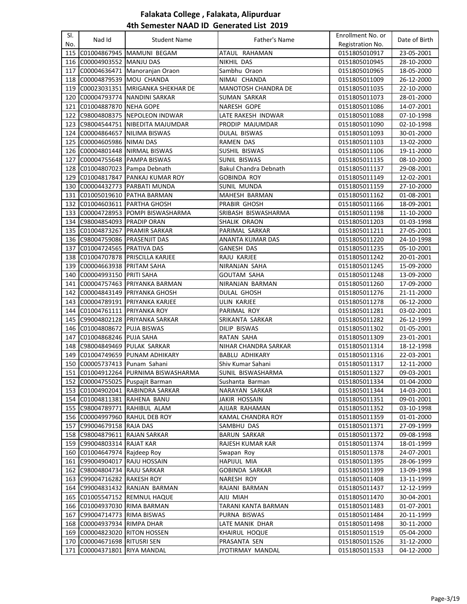| SI. |                                |                                      |                            | Enrollment No. or |               |
|-----|--------------------------------|--------------------------------------|----------------------------|-------------------|---------------|
| No. | Nad Id                         | <b>Student Name</b>                  | Father's Name              | Registration No.  | Date of Birth |
| 115 |                                | C01004867945  MAMUNI BEGAM           | ATAUL RAHAMAN              | 0151805010917     | 23-05-2001    |
| 116 | C00004903552 MANJU DAS         |                                      | NIKHIL DAS                 | 0151805010945     | 28-10-2000    |
| 117 |                                | C00004636471 Manoranian Oraon        | Sambhu Oraon               | 0151805010965     | 18-05-2000    |
| 118 | C00004879539 MOU CHANDA        |                                      | NIMAI CHANDA               | 0151805011009     | 26-12-2000    |
| 119 |                                | C00023031351 MRIGANKA SHEKHAR DE     | <b>MANOTOSH CHANDRA DE</b> | 0151805011035     | 22-10-2000    |
| 120 | C00004793774                   | NANDINI SARKAR                       | SUMAN SARKAR               | 0151805011073     | 28-01-2000    |
| 121 | C01004887870                   | NEHA GOPE                            | <b>NARESH GOPE</b>         | 0151805011086     | 14-07-2001    |
| 122 | C98004808375                   | NEPOLEON INDWAR                      | LATE RAKESH INDWAR         | 0151805011088     | 07-10-1998    |
| 123 | C98004544751                   | NIBEDITA MAJUMDAR                    | PRODIP MAJUMDAR            | 0151805011090     | 02-10-1998    |
| 124 | C00004864657                   | NILIMA BISWAS                        | <b>DULAL BISWAS</b>        | 0151805011093     | 30-01-2000    |
| 125 | C00004605986                   | <b>NIMAI DAS</b>                     | <b>RAMEN DAS</b>           | 0151805011103     | 13-02-2000    |
| 126 |                                | C00004801448 NIRMAL BISWAS           | SUSHIL BISWAS              | 0151805011106     | 19-11-2000    |
| 127 |                                | C00004755648 PAMPA BISWAS            | <b>SUNIL BISWAS</b>        | 0151805011135     | 08-10-2000    |
| 128 |                                | C01004807023 Pampa Debnath           | Bakul Chandra Debnath      | 0151805011137     | 29-08-2001    |
| 129 |                                | C01004817847   PANKAJ KUMAR ROY      | GOBINDA ROY                | 0151805011149     | 12-02-2001    |
| 130 | C00004432773                   | <b>PARBATI MUNDA</b>                 | SUNIL MUNDA                | 0151805011159     | 27-10-2000    |
| 131 | C01005019610                   | <b>PATHA BARMAN</b>                  | MAHESH BARMAN              | 0151805011162     | 01-08-2001    |
| 132 |                                | C01004603611 PARTHA GHOSH            | PRABIR GHOSH               | 0151805011166     | 18-09-2001    |
|     |                                | 133  C00004728953  POMPI BISWASHARMA | SRIBASH BISWASHARMA        | 0151805011198     | 11-10-2000    |
| 134 | C98004854093   PRADIP ORAN     |                                      | SHALIK ORAON               | 0151805011203     | 01-03-1998    |
| 135 | C01004873267                   | <b>PRAMIR SARKAR</b>                 | PARIMAL SARKAR             | 0151805011211     | 27-05-2001    |
| 136 | C98004759086 PRASENJIT DAS     |                                      | ANANTA KUMAR DAS           | 0151805011220     | 24-10-1998    |
| 137 | C01004724565 PRATIVA DAS       |                                      | <b>GANESH DAS</b>          | 0151805011235     | 05-10-2001    |
| 138 |                                | C01004707878  PRISCILLA KARJEE       | RAJU KARJEE                | 0151805011242     | 20-01-2001    |
| 139 | C00004663938 PRITAM SAHA       |                                      | NIRANJAN SAHA              | 0151805011245     | 15-09-2000    |
| 140 | C00004993150 PRITI SAHA        |                                      | <b>GOUTAM SAHA</b>         | 0151805011248     | 13-09-2000    |
| 141 |                                | C00004757463 PRIYANKA BARMAN         | NIRANJAN BARMAN            | 0151805011260     | 17-09-2000    |
| 142 |                                | C00004843149 PRIYANKA GHOSH          | DULAL GHOSH                | 0151805011276     | 21-11-2000    |
| 143 |                                | C00004789191 PRIYANKA KARJEE         | ULIN KARJEE                | 0151805011278     | 06-12-2000    |
| 144 | C01004761111 PRIYANKA ROY      |                                      | PARIMAL ROY                | 0151805011281     | 03-02-2001    |
| 145 |                                | C99004802128 PRIYANKA SARKAR         | SRIKANTA SARKAR            | 0151805011282     | 26-12-1999    |
| 146 | C01004808672                   | <b>PUJA BISWAS</b>                   | DILIP BISWAS               | 0151805011302     | 01-05-2001    |
| 147 | C01004868246 PUJA SAHA         |                                      | RATAN SAHA                 | 0151805011309     | 23-01-2001    |
| 148 | C98004849469 PULAK SARKAR      |                                      | NIHAR CHANDRA SARKAR       | 0151805011314     | 18-12-1998    |
| 149 |                                | C01004749659 PUNAM ADHIKARY          | <b>BABLU ADHIKARY</b>      | 0151805011316     | 22-03-2001    |
| 150 | C00005737413 Punam Sahani      |                                      | Shiv Kumar Sahani          | 0151805011317     | 12-11-2000    |
|     |                                | 151 C01004912264 PURNIMA BISWASHARMA | SUNIL BISWASHARMA          | 0151805011327     | 09-03-2001    |
|     |                                | 152 C00004755025 Puspajit Barman     | Sushanta Barman            | 0151805011334     | 01-04-2000    |
|     |                                | 153 C01004902041 RABINDRA SARKAR     | <b>NARAYAN SARKAR</b>      | 0151805011344     | 14-03-2001    |
|     | 154  C01004811381  RAHENA BANU |                                      | JAKIR HOSSAIN              | 0151805011351     | 09-01-2001    |
|     |                                | 155 C98004789771 RAHIBUL ALAM        | AJIJAR RAHAMAN             | 0151805011352     | 03-10-1998    |
|     |                                | 156 C00004997960 RAHUL DEB ROY       | KAMAL CHANDRA ROY          | 0151805011359     | 01-01-2000    |
|     | 157 C99004679158 RAJA DAS      |                                      | SAMBHU DAS                 | 0151805011371     | 27-09-1999    |
|     | 158 C98004879611 RAJAN SARKAR  |                                      | <b>BARUN SARKAR</b>        | 0151805011372     | 09-08-1998    |
|     | 159 C99004803314 RAJAT KAR     |                                      | RAJESH KUMAR KAR           | 0151805011374     | 18-01-1999    |
|     | 160 C01004647974 Rajdeep Roy   |                                      | Swapan Roy                 | 0151805011378     | 24-07-2001    |
|     | 161 C99004904017               | <b>RAJU HOSSAIN</b>                  | HAPIJUL MIA                | 0151805011395     | 28-06-1999    |
|     | 162 C98004804734 RAJU SARKAR   |                                      | <b>GOBINDA SARKAR</b>      | 0151805011399     | 13-09-1998    |
|     | 163 C99004716282 RAKESH ROY    |                                      | NARESH ROY                 | 0151805011408     | 13-11-1999    |
|     |                                | 164 C99004831432 RANJAN BARMAN       | RAJANI BARMAN              | 0151805011437     | 12-12-1999    |
|     |                                | 165 C01005547152 REMNUL HAQUE        | AJIJ MIAH                  | 0151805011470     | 30-04-2001    |
|     | 166 C01004937030 RIMA BARMAN   |                                      | TARANI KANTA BARMAN        | 0151805011483     | 01-07-2001    |
| 167 | C99004714773 RIMA BISWAS       |                                      | PURNA BISWAS               | 0151805011484     | 20-11-1999    |
|     | 168 C00004937934 RIMPA DHAR    |                                      | LATE MANIK DHAR            | 0151805011498     | 30-11-2000    |
| 169 | C00004823020 RITON HOSSEN      |                                      | KHAIRUL HOQUE              | 0151805011519     | 05-04-2000    |
| 170 | C00004671698                   | <b>RITUSRI SEN</b>                   | PRASANTA SEN               | 0151805011526     | 31-12-2000    |
| 171 | C00004371801                   | RIYA MANDAL                          | JYOTIRMAY MANDAL           | 0151805011533     | 04-12-2000    |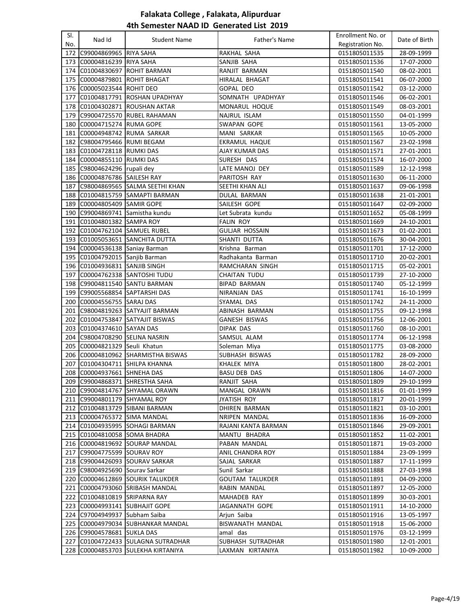| SI. |                                  |                                    |                                | Enrollment No. or              |                          |
|-----|----------------------------------|------------------------------------|--------------------------------|--------------------------------|--------------------------|
| No. | Nad Id                           | <b>Student Name</b>                | Father's Name                  | Registration No.               | Date of Birth            |
| 172 | C99004869965 RIYA SAHA           |                                    | RAKHAL SAHA                    | 0151805011535                  | 28-09-1999               |
|     | 173 C00004816239 RIYA SAHA       |                                    | SANJIB SAHA                    | 0151805011536                  | 17-07-2000               |
|     |                                  | 174 C01004830697 ROHIT BARMAN      | RANJIT BARMAN                  | 0151805011540                  | 08-02-2001               |
| 175 | C00004879801 ROHIT BHAGAT        |                                    | HIRALAL BHAGAT                 | 0151805011541                  | 06-07-2000               |
|     | 176 C00005023544 ROHIT DEO       |                                    | GOPAL DEO                      | 0151805011542                  | 03-12-2000               |
| 177 |                                  | C01004817791 ROSHAN UPADHYAY       | SOMNATH UPADHYAY               | 0151805011546                  | 06-02-2001               |
| 178 |                                  | C01004302871 ROUSHAN AKTAR         | MONARUL HOQUE                  | 0151805011549                  | 08-03-2001               |
| 179 |                                  | C99004725570 RUBEL RAHAMAN         | NAJRUL ISLAM                   | 0151805011550                  | 04-01-1999               |
| 180 | C00004715274 RUMA GOPE           |                                    | SWAPAN GOPE                    | 0151805011561                  | 13-05-2000               |
| 181 | C00004948742 RUMA SARKAR         |                                    | MANI SARKAR                    | 0151805011565                  | 10-05-2000               |
|     | 182 C98004795466 RUMI BEGAM      |                                    | EKRAMUL HAQUE                  | 0151805011567                  | 23-02-1998               |
|     | 183 C01004728118 RUMKI DAS       |                                    | <b>AJAY KUMAR DAS</b>          | 0151805011571                  | 27-01-2001               |
| 184 | C00004855110 RUMKI DAS           |                                    | SURESH DAS                     | 0151805011574                  | 16-07-2000               |
| 185 | C98004624296 rupali dey          |                                    | LATE MANOJ DEY                 | 0151805011589                  | 12-12-1998               |
| 186 | C00004876786 SAILESH RAY         |                                    | PARITOSH RAY                   |                                | 06-11-2000               |
|     |                                  |                                    |                                | 0151805011630                  |                          |
| 187 |                                  | C98004869565 SALMA SEETHI KHAN     | SEETHI KHAN ALI                | 0151805011637                  | 09-06-1998               |
| 188 |                                  | C01004815759 SAMAPTI BARMAN        | DULAL BARMAN                   | 0151805011638                  | 21-01-2001               |
|     | 189 C00004805409 SAMIR GOPE      |                                    | SAILESH GOPE                   | 0151805011647                  | 02-09-2000               |
|     |                                  | 190 C99004869741 Samistha kundu    | Let Subrata kundu              | 0151805011652                  | 05-08-1999               |
|     | 191 C01004801382 SAMPA ROY       |                                    | <b>FALIN ROY</b>               | 0151805011669                  | 24-10-2001               |
| 192 | C01004762104 SAMUEL RUBEL        |                                    | <b>GULJAR HOSSAIN</b>          | 0151805011673                  | 01-02-2001               |
|     |                                  | 193 C01005053651 SANCHITA DUTTA    | SHANTI DUTTA                   | 0151805011676                  | 30-04-2001               |
|     | 194 C00004536138 Saniay Barman   |                                    | Krishna Barman                 | 0151805011701                  | 17-12-2000               |
|     | 195 C01004792015 Sanjib Barman   |                                    | Radhakanta Barman              | 0151805011710                  | 20-02-2001               |
|     | 196 C01004936831 SANJIB SINGH    |                                    | RAMCHARAN SINGH                | 0151805011715                  | 05-02-2001               |
| 197 |                                  | C00004762338 SANTOSHI TUDU         | <b>CHAITAN TUDU</b>            | 0151805011739                  | 27-10-2000               |
|     |                                  | 198 C99004811540 SANTU BARMAN      | <b>BIPAD BARMAN</b>            | 0151805011740                  | 05-12-1999               |
| 199 | C99005568854 SAPTARSHI DAS       |                                    | NIRANJAN DAS                   | 0151805011741                  | 16-10-1999               |
|     | 200 C00004556755 SARAJ DAS       |                                    | SYAMAL DAS                     | 0151805011742                  | 24-11-2000               |
| 201 |                                  | C98004819263 SATYAJIT BARMAN       | ABINASH BARMAN                 | 0151805011755                  | 09-12-1998               |
|     | 203 C01004374610 SAYAN DAS       | 202 C01004753847 SATYAJIT BISWAS   | <b>GANESH BISWAS</b>           | 0151805011756                  | 12-06-2001               |
| 204 | C98004708290 SELINA NASRIN       |                                    | DIPAK DAS<br>SAMSUL ALAM       | 0151805011760<br>0151805011774 | 08-10-2001<br>06-12-1998 |
|     | 205 C00004821329 Seuli Khatun    |                                    | Soleman Miya                   | 0151805011775                  | 03-08-2000               |
| 206 |                                  | C00004810962 SHARMISTHA BISWAS     | SUBHASH BISWAS                 | 0151805011782                  | 28-09-2000               |
| 207 |                                  | C01004304711 SHILPA KHANNA         | KHALEK MIYA                    | 0151805011800                  | 28-02-2001               |
|     | 208 C00004937661 SHNEHA DAS      |                                    | <b>BASU DEB DAS</b>            | 0151805011806                  | 14-07-2000               |
|     |                                  | 209 C99004868371 SHRESTHA SAHA     |                                |                                |                          |
|     |                                  | 210 C99004814767 SHYAMAL ORAWN     | RANJIT SAHA                    | 0151805011809<br>0151805011816 | 29-10-1999               |
|     |                                  |                                    | MANGAL ORAWN                   | 0151805011817                  | 01-01-1999               |
|     | 211 C99004801179 SHYAMAL ROY     |                                    | JYATISH ROY                    |                                | 20-01-1999               |
|     | 213 C00004765372 SIMA MANDAL     | 212   C01004813729   SIBANI BARMAN | DHIREN BARMAN<br>NRIPEN MANDAL | 0151805011821<br>0151805011836 | 03-10-2001<br>16-09-2000 |
|     |                                  | 214 C01004935995 SOHAGI BARMAN     | RAJANI KANTA BARMAN            | 0151805011846                  | 29-09-2001               |
|     | 215 C01004810058 SOMA BHADRA     |                                    | MANTU BHADRA                   | 0151805011852                  | 11-02-2001               |
|     |                                  | 216 C00004819692 SOURAP MANDAL     | PABAN MANDAL                   | 0151805011871                  | 19-03-2000               |
|     | 217 C99004775599 SOURAV ROY      |                                    | ANIL CHANDRA ROY               | 0151805011884                  | 23-09-1999               |
|     |                                  | 218 C99004426093 SOURAV SARKAR     | SAJAL SARKAR                   | 0151805011887                  | 17-11-1999               |
|     | 219   C98004925690 Sourav Sarkar |                                    | Sunil Sarkar                   | 0151805011888                  | 27-03-1998               |
|     |                                  | 220 C00004612869 SOURIK TALUKDER   | GOUTAM TALUKDER                | 0151805011891                  | 04-09-2000               |
|     |                                  | 221 C00004793060 SRIBASH MANDAL    | RABIN MANDAL                   | 0151805011897                  | 12-05-2000               |
|     | 222 C01004810819 SRIPARNA RAY    |                                    | MAHADEB RAY                    | 0151805011899                  | 30-03-2001               |
|     |                                  | 223 C00004993141 SUBHAJIT GOPE     | JAGANNATH GOPE                 | 0151805011911                  | 14-10-2000               |
|     | 224   C97004949937 Subham Saiba  |                                    | Arjun Saiba                    | 0151805011916                  | 13-05-1997               |
|     |                                  | 225 C00004979034 SUBHANKAR MANDAL  | BISWANATH MANDAL               | 0151805011918                  | 15-06-2000               |
|     | 226 C99004578681 SUKLA DAS       |                                    | amal das                       | 0151805011976                  | 03-12-1999               |
| 227 |                                  | C01004722433 SULAGNA SUTRADHAR     | SUBHASH SUTRADHAR              | 0151805011980                  | 12-01-2001               |
| 228 |                                  | C00004853703 SULEKHA KIRTANIYA     | LAXMAN KIRTANIYA               | 0151805011982                  | 10-09-2000               |
|     |                                  |                                    |                                |                                |                          |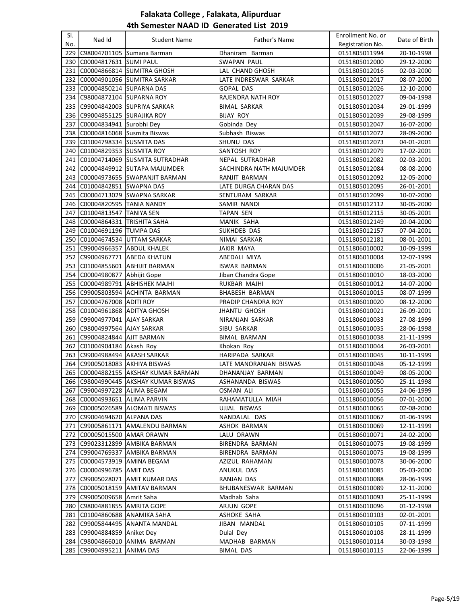| SI. | Nad Id                           | <b>Student Name</b>                  | Father's Name           | Enrollment No. or | Date of Birth |
|-----|----------------------------------|--------------------------------------|-------------------------|-------------------|---------------|
| No. |                                  |                                      |                         | Registration No.  |               |
|     |                                  | 229 C98004701105 Sumana Barman       | Dhaniram Barman         | 0151805011994     | 20-10-1998    |
|     | 230 C00004817631 SUMI PAUL       |                                      | SWAPAN PAUL             | 0151805012000     | 29-12-2000    |
|     |                                  | 231 C00004866814 SUMITRA GHOSH       | LAL CHAND GHOSH         | 0151805012016     | 02-03-2000    |
|     |                                  | 232 C00004901056 SUMITRA SARKAR      | LATE INDRESWAR SARKAR   | 0151805012017     | 08-07-2000    |
|     | 233 C00004850214 SUPARNA DAS     |                                      | <b>GOPAL DAS</b>        | 0151805012026     | 12-10-2000    |
|     | 234 C98004872104 SUPARNA ROY     |                                      | RAJENDRA NATH ROY       | 0151805012027     | 09-04-1998    |
|     |                                  | 235 C99004842003 SUPRIYA SARKAR      | <b>BIMAL SARKAR</b>     | 0151805012034     | 29-01-1999    |
|     | 236 C99004855125 SURAJIKA ROY    |                                      | <b>BIJAY ROY</b>        | 0151805012039     | 29-08-1999    |
| 237 | C00004834941 Surobhi Dey         |                                      | Gobinda Dey             | 0151805012047     | 16-07-2000    |
|     | 238 C00004816068 Susmita Biswas  |                                      | Subhash Biswas          | 0151805012072     | 28-09-2000    |
| 239 | C01004798334 SUSMITA DAS         |                                      | SHUNU DAS               | 0151805012073     | 04-01-2001    |
| 240 | C01004829353 SUSMITA ROY         |                                      | SANTOSH ROY             | 0151805012079     | 17-02-2001    |
|     |                                  | 241 C01004714069 SUSMITA SUTRADHAR   | NEPAL SUTRADHAR         | 0151805012082     | 02-03-2001    |
|     |                                  | 242 C00004849912 SUTAPA MAJUMDER     | SACHINDRA NATH MAJUMDER | 0151805012084     | 08-08-2000    |
|     |                                  | 243 C00004973655 SWAPANJIT BARMAN    | RANJIT BARMAN           | 0151805012092     | 12-05-2000    |
| 244 | C01004842851 SWAPNA DAS          |                                      | LATE DURGA CHARAN DAS   | 0151805012095     | 26-01-2001    |
| 245 |                                  | C00004713029 SWAPNA SARKAR           | SENTURAM SARKAR         | 0151805012099     | 10-07-2000    |
|     | 246 C00004820595 TANIA NANDY     |                                      | SAMIR NANDI             | 0151805012112     | 30-05-2000    |
|     | 247 C01004813547 TANIYA SEN      |                                      | TAPAN SEN               | 0151805012115     | 30-05-2001    |
| 248 | C00004864331 TRISHITA SAHA       |                                      | MANIK SAHA              | 0151805012149     | 20-04-2000    |
|     | 249 C01004691196 TUMPA DAS       |                                      | SUKHDEB DAS             | 0151805012157     | 07-04-2001    |
|     |                                  | 250 C01004674534 UTTAM SARKAR        | NIMAI SARKAR            | 0151805012181     | 08-01-2001    |
|     | 251 C99004966357 ABDUL KHALEK    |                                      | JAKIR MAYA              | 0151806010002     | 10-09-1999    |
|     |                                  | 252 C99004967771 ABEDA KHATUN        | ABEDALI MIYA            | 0151806010004     | 12-07-1999    |
|     |                                  | 253 C01004855601 ABHIJIT BARMAN      | ISWAR BARMAN            | 0151806010006     | 21-05-2001    |
|     | 254 C00004980877 Abhijit Gope    |                                      | Jiban Chandra Gope      | 0151806010010     | 18-03-2000    |
| 255 |                                  | C00004989791 ABHISHEK MAJHI          | RUKBAR MAJHI            | 0151806010012     | 14-07-2000    |
|     |                                  | 256 C99005803594 ACHINTA BARMAN      | BHABESH BARMAN          | 0151806010015     | 08-07-1999    |
| 257 | C00004767008 ADITI ROY           |                                      | PRADIP CHANDRA ROY      | 0151806010020     | 08-12-2000    |
|     | 258 C01004961868 ADITYA GHOSH    |                                      | <b>JHANTU GHOSH</b>     | 0151806010021     | 26-09-2001    |
|     | 259 C99004977041 AJAY SARKAR     |                                      | NIRANJAN SARKAR         | 0151806010033     | 27-08-1999    |
|     | 260 C98004997564 AJAY SARKAR     |                                      | SIBU SARKAR             | 0151806010035     | 28-06-1998    |
|     | 261 C99004824844 AJIT BARMAN     |                                      | <b>BIMAL BARMAN</b>     | 0151806010038     | 21-11-1999    |
|     | 262 C01004904184 Akash Roy       |                                      | Khokan Roy              | 0151806010044     | 26-03-2001    |
| 263 | C99004988494 AKASH SARKAR        |                                      | HARIPADA SARKAR         | 0151806010045     | 10-11-1999    |
| 264 |                                  | C99005018083 AKHIYA BISWAS           | LATE MANORANJAN BISWAS  | 0151806010048     | 05-12-1999    |
|     |                                  | 265 C00004882155 AKSHAY KUMAR BARMAN | DHANANJAY BARMAN        | 0151806010049     | 08-05-2000    |
|     |                                  | 266 C98004990445 AKSHAY KUMAR BISWAS | ASHANANDA BISWAS        | 0151806010050     | 25-11-1998    |
|     | 267   C99004997228   ALIMA BEGAM |                                      | OSMAN ALI               | 0151806010055     | 24-06-1999    |
|     | 268 C00004993651 ALIMA PARVIN    |                                      | RAHAMATULLA MIAH        | 0151806010056     | 07-01-2000    |
| 269 |                                  | C00005026589 ALOMATI BISWAS          | UJJAL BISWAS            | 0151806010065     | 02-08-2000    |
| 270 | C99004694620 ALPANA DAS          |                                      | NANDALAL DAS            | 0151806010067     | 01-06-1999    |
| 271 |                                  | C99005861171 AMALENDU BARMAN         | ASHOK BARMAN            | 0151806010069     | 12-11-1999    |
| 272 | C00005015500 AMAR ORAWN          |                                      | LALU ORAWN              | 0151806010071     | 24-02-2000    |
| 273 |                                  | C99023312899 AMBIKA BARMAN           | BIRENDRA BARMAN         | 0151806010075     | 19-08-1999    |
|     |                                  | 274 C99004769337 AMBIKA BARMAN       | BIRENDRA BARMAN         | 0151806010075     | 19-08-1999    |
| 275 | C00004573919 AMINA BEGAM         |                                      | AZIZUL RAHAMAN          | 0151806010078     | 30-06-2000    |
|     | 276 C00004996785 AMIT DAS        |                                      | ANUKUL DAS              | 0151806010085     | 05-03-2000    |
| 277 |                                  | C99005028071 AMIT KUMAR DAS          | RANJAN DAS              | 0151806010088     | 28-06-1999    |
|     |                                  | 278 C00005018159 AMITAV BARMAN       | BHUBANESWAR BARMAN      | 0151806010089     | 12-11-2000    |
|     | 279 C99005009658 Amrit Saha      |                                      | Madhab Saha             | 0151806010093     | 25-11-1999    |
|     | 280   C98004881855   AMRITA GOPE |                                      | ARJUN GOPE              | 0151806010096     | 01-12-1998    |
|     |                                  | 281   C01004860688   ANAMIKA SAHA    | ASHOKE SAHA             | 0151806010103     | 02-01-2001    |
|     |                                  | 282 C99005844495 ANANTA MANDAL       | JIBAN MANDAL            | 0151806010105     | 07-11-1999    |
|     | 283 C99004884859 Aniket Dey      |                                      | Dulal Dey               | 0151806010108     | 28-11-1999    |
| 284 |                                  | C98004866010 ANIMA BARMAN            | MADHAB BARMAN           | 0151806010114     | 30-03-1998    |
| 285 | C99004995211 ANIMA DAS           |                                      | <b>BIMAL DAS</b>        | 0151806010115     | 22-06-1999    |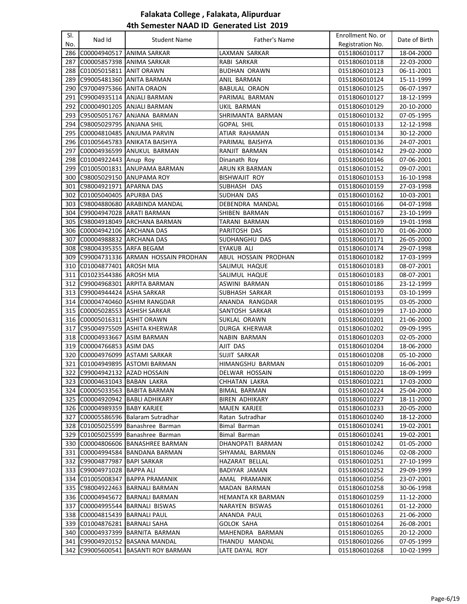| SI. |                               |                                    |                        | Enrollment No. or |               |
|-----|-------------------------------|------------------------------------|------------------------|-------------------|---------------|
| No. | Nad Id                        | <b>Student Name</b>                | Father's Name          | Registration No.  | Date of Birth |
| 286 | C00004940517 ANIMA SARKAR     |                                    | LAXMAN SARKAR          | 0151806010117     | 18-04-2000    |
| 287 |                               | C00005857398 ANIMA SARKAR          | RABI SARKAR            | 0151806010118     | 22-03-2000    |
| 288 | C01005015811 ANIT ORAWN       |                                    | <b>BUDHAN ORAWN</b>    | 0151806010123     | 06-11-2001    |
| 289 |                               | C99005481360 ANITA BARMAN          | <b>ANIL BARMAN</b>     | 0151806010124     | 15-11-1999    |
| 290 | C97004975366 ANITA ORAON      |                                    | <b>BABULAL ORAON</b>   | 0151806010125     | 06-07-1997    |
| 291 |                               | C99004935114 ANJALI BARMAN         | PARIMAL BARMAN         | 0151806010127     | 18-12-1999    |
| 292 |                               | C00004901205 ANJALI BARMAN         | UKIL BARMAN            | 0151806010129     | 20-10-2000    |
| 293 |                               |                                    |                        |                   |               |
|     |                               | C95005051767 ANJANA BARMAN         | SHRIMANTA BARMAN       | 0151806010132     | 07-05-1995    |
| 294 | C98005029795 ANJANA SHIL      |                                    | <b>GOPAL SHIL</b>      | 0151806010133     | 12-12-1998    |
| 295 |                               | C00004810485 ANJUMA PARVIN         | ATIAR RAHAMAN          | 0151806010134     | 30-12-2000    |
| 296 |                               | C01005645783 ANIKATA BAISHYA       | PARIMAL BAISHYA        | 0151806010136     | 24-07-2001    |
| 297 |                               | C00004936599 ANUKUL BARMAN         | RANJIT BARMAN          | 0151806010142     | 29-02-2000    |
| 298 | C01004922443 Anup Roy         |                                    | Dinanath Roy           | 0151806010146     | 07-06-2001    |
| 299 |                               | C01005001831 ANUPAMA BARMAN        | ARUN KR BARMAN         | 0151806010152     | 09-07-2001    |
| 300 | C98005029150 ANUPAMA ROY      |                                    | <b>BISHWAJIT ROY</b>   | 0151806010153     | 16-10-1998    |
| 301 | C98004921971 APARNA DAS       |                                    | SUBHASH DAS            | 0151806010159     | 27-03-1998    |
|     | 302 C01005040405 APURBA DAS   |                                    | SUDHAN DAS             | 0151806010162     | 10-03-2001    |
|     |                               | 303 C98004880680 ARABINDA MANDAL   | <b>DEBENDRA MANDAL</b> | 0151806010166     | 04-07-1998    |
|     | 304 C99004947028 ARATI BARMAN |                                    | SHIBEN BARMAN          | 0151806010167     | 23-10-1999    |
| 305 |                               | C98004918049 ARCHANA BARMAN        | TARANI BARMAN          | 0151806010169     | 19-01-1998    |
| 306 | C00004942106 ARCHANA DAS      |                                    | PARITOSH DAS           | 0151806010170     | 01-06-2000    |
| 307 | C00004988832 ARCHANA DAS      |                                    | SUDHANGHU DAS          | 0151806010171     | 26-05-2000    |
| 308 | C98004395355 ARFA BEGAM       |                                    | <b>EYAKUB ALI</b>      | 0151806010174     | 29-07-1998    |
| 309 |                               | C99004731336 ARMAN HOSSAIN PRODHAN | ABUL HOSSAIN PRODHAN   | 0151806010182     | 17-03-1999    |
| 310 | C01004877401 AROSH MIA        |                                    | SALIMUL HAQUE          | 0151806010183     | 08-07-2001    |
|     | 311 C01023544386 AROSH MIA    |                                    | SALIMUL HAQUE          | 0151806010183     | 08-07-2001    |
|     |                               | 312 C99004968301 ARPITA BARMAN     | ASWINI BARMAN          | 0151806010186     | 23-12-1999    |
|     | 313 C99004944424 ASHA SARKAR  |                                    | SUBHASH SARKAR         | 0151806010193     | 03-10-1999    |
|     |                               | 314 C00004740460 ASHIM RANGDAR     | ANANDA RANGDAR         | 0151806010195     | 03-05-2000    |
|     |                               | 315  C00005028553   ASHISH SARKAR  | SANTOSH SARKAR         | 0151806010199     | 17-10-2000    |
|     | 316 C00005016311 ASHIT ORAWN  |                                    | SUKLAL ORAWN           | 0151806010201     | 21-06-2000    |
| 317 |                               | C95004975509 ASHITA KHERWAR        | DURGA KHERWAR          | 0151806010202     | 09-09-1995    |
| 318 | C00004933667 ASIM BARMAN      |                                    | NABIN BARMAN           | 0151806010203     | 02-05-2000    |
|     | 319 C00004766853 ASIM DAS     |                                    | AJIT DAS               | 0151806010204     | 18-06-2000    |
| 320 |                               | C00004976099 ASTAMI SARKAR         | <b>SUJIT SARKAR</b>    |                   |               |
|     |                               | 321 C01004949895 ASTOMI BARMAN     | HIMANGSHU BARMAN       | 0151806010208     | 05-10-2000    |
|     |                               |                                    |                        | 0151806010209     | 16-06-2001    |
|     | 322 C99004942132 AZAD HOSSAIN |                                    | DELWAR HOSSAIN         | 0151806010220     | 18-09-1999    |
|     | 323 C00004631043 BABAN LAKRA  |                                    | CHHATAN LAKRA          | 0151806010221     | 17-03-2000    |
|     |                               | 324   C00005033563   BABITA BARMAN | BIMAL BARMAN           | 0151806010224     | 25-04-2000    |
|     |                               | 325 C00004920942 BABLI ADHIKARY    | <b>BIREN ADHIKARY</b>  | 0151806010227     | 18-11-2000    |
|     | 326 C00004989359 BABY KARJEE  |                                    | MAJEN KARJEE           | 0151806010233     | 20-05-2000    |
| 327 |                               | C00005586596 Balaram Sutradhar     | Ratan Sutradhar        | 0151806010240     | 18-12-2000    |
|     |                               | 328 C01005025599 Banashree Barman  | Bimal Barman           | 0151806010241     | 19-02-2001    |
|     |                               | 329 C01005025599 Banashree Barman  | Bimal Barman           | 0151806010241     | 19-02-2001    |
|     |                               | 330 C00004806606 BANASHREE BARMAN  | DHANOPATI BARMAN       | 0151806010242     | 01-05-2000    |
|     |                               | 331 C00004994584 BANDANA BARMAN    | SHYAMAL BARMAN         | 0151806010246     | 02-08-2000    |
|     | 332 C99004877987              | <b>BAPI SARKAR</b>                 | <b>HAZARAT BELLAL</b>  | 0151806010251     | 27-10-1999    |
|     | 333 C99004971028 BAPPA ALI    |                                    | BADIYAR JAMAN          | 0151806010252     | 29-09-1999    |
|     |                               | 334 C01005008347 BAPPA PRAMANIK    | AMAL PRAMANIK          | 0151806010256     | 23-07-2001    |
|     |                               | 335 C98004922463 BARNALI BARMAN    | MADAN BARMAN           | 0151806010258     | 30-06-1998    |
|     |                               | 336 C00004945672 BARNALI BARMAN    | HEMANTA KR BARMAN      | 0151806010259     | 11-12-2000    |
|     |                               | 337 C00004995544 BARNALI BISWAS    | NARAYEN BISWAS         | 0151806010261     | 01-12-2000    |
|     | 338 C00004815439 BARNALI PAUL |                                    | ANANDA PAUL            | 0151806010263     | 21-06-2000    |
| 339 | C01004876281 BARNALI SAHA     |                                    | GOLOK SAHA             | 0151806010264     | 26-08-2001    |
| 340 | C00004937399                  | BARNITA BARMAN                     | MAHENDRA BARMAN        | 0151806010265     | 20-12-2000    |
| 341 |                               | C99004920152 BASANA MANDAL         | THANDU MANDAL          | 0151806010266     | 07-05-1999    |
| 342 | C99005600541                  | <b>BASANTI ROY BARMAN</b>          | LATE DAYAL ROY         | 0151806010268     | 10-02-1999    |
|     |                               |                                    |                        |                   |               |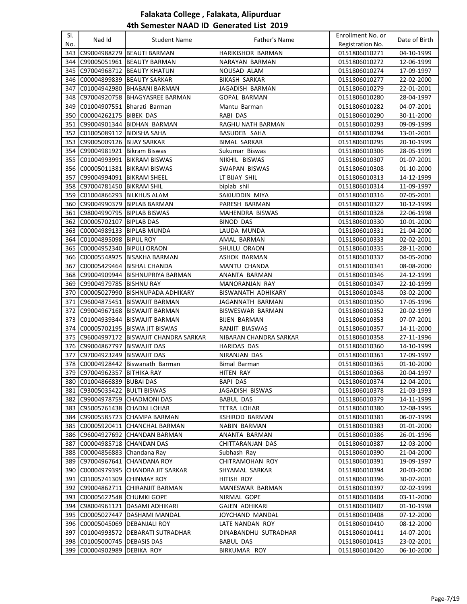| SI. |                                |                                         |                          | Enrollment No. or              |                          |
|-----|--------------------------------|-----------------------------------------|--------------------------|--------------------------------|--------------------------|
| No. | Nad Id                         | <b>Student Name</b>                     | Father's Name            | Registration No.               | Date of Birth            |
| 343 |                                | C99004988279 BEAUTI BARMAN              | <b>HARIKISHOR BARMAN</b> | 0151806010271                  | 04-10-1999               |
| 344 |                                | C99005051961 BEAUTY BARMAN              | NARAYAN BARMAN           | 0151806010272                  | 12-06-1999               |
| 345 |                                | C97004968712 BEAUTY KHATUN              | NOUSAD ALAM              | 0151806010274                  | 17-09-1997               |
| 346 |                                | C00004899839 BEAUTY SARKAR              | <b>BIKASH SARKAR</b>     | 0151806010277                  | 22-02-2000               |
| 347 |                                | C01004942980   BHABANI BARMAN           | JAGADISH BARMAN          | 0151806010279                  | 22-01-2001               |
| 348 |                                | C97004920758 BHAGYASREE BARMAN          | GOPAL BARMAN             | 0151806010280                  | 28-04-1997               |
| 349 |                                | C01004907551 Bharati Barman             | Mantu Barman             | 0151806010282                  | 04-07-2001               |
|     | C00004262175 BIBEK DAS         |                                         |                          |                                |                          |
| 350 |                                |                                         | RABI DAS                 | 0151806010290<br>0151806010293 | 30-11-2000<br>09-09-1999 |
| 351 |                                | C99004901344 BIDHAN BARMAN              | RAGHU NATH BARMAN        |                                |                          |
|     | 352 C01005089112 BIDISHA SAHA  |                                         | BASUDEB SAHA             | 0151806010294                  | 13-01-2001               |
|     | 353 C99005009126 BIJAY SARKAR  |                                         | <b>BIMAL SARKAR</b>      | 0151806010295                  | 20-10-1999               |
| 354 | C99004981921                   | <b>Bikram Biswas</b>                    | Sukumar Biswas           | 0151806010306                  | 28-05-1999               |
| 355 |                                | C01004993991 BIKRAM BISWAS              | NIKHIL BISWAS            | 0151806010307                  | 01-07-2001               |
| 356 |                                | C00005011381 BIKRAM BISWAS              | SWAPAN BISWAS            | 0151806010308                  | 01-10-2000               |
| 357 | C99004994091                   | <b>BIKRAM SHEEL</b>                     | LT BIJAY SHIL            | 0151806010313                  | 14-12-1999               |
| 358 | C97004781450                   | <b>BIKRAM SHIL</b>                      | biplab shil              | 0151806010314                  | 11-09-1997               |
| 359 | C01004866293 BILKHUS ALAM      |                                         | SAKIUDDIN MIYA           | 0151806010316                  | 07-05-2001               |
|     |                                | 360 C99004990379 BIPLAB BARMAN          | PARESH BARMAN            | 0151806010327                  | 10-12-1999               |
|     | 361 C98004990795 BIPLAB BISWAS |                                         | MAHENDRA BISWAS          | 0151806010328                  | 22-06-1998               |
| 362 | C00005702107   BIPLAB DAS      |                                         | <b>BINOD DAS</b>         | 0151806010330                  | 10-01-2000               |
| 363 | C00004989133 BIPLAB MUNDA      |                                         | LAUDA MUNDA              | 0151806010331                  | 21-04-2000               |
| 364 | C01004895098  BIPUL ROY        |                                         | AMAL BARMAN              | 0151806010333                  | 02-02-2001               |
| 365 | C00004952340 BIPULI ORAON      |                                         | SHUILU ORAON             | 0151806010335                  | 28-11-2000               |
| 366 |                                | C00005548925 BISAKHA BARMAN             | <b>ASHOK BARMAN</b>      | 0151806010337                  | 04-05-2000               |
| 367 |                                | C00005429464 BISHAL CHANDA              | MANTU CHANDA             | 0151806010341                  | 08-08-2000               |
| 368 |                                | C99004909944 BISHNUPRIYA BARMAN         | ANANTA BARMAN            | 0151806010346                  | 24-12-1999               |
| 369 | C99004979785 BISHNU RAY        |                                         | <b>MANORANJAN RAY</b>    | 0151806010347                  | 22-10-1999               |
| 370 |                                | C00005027990 BISHNUPADA ADHIKARY        | BISWANATH ADHIKARY       | 0151806010348                  | 03-02-2000               |
| 371 |                                | C96004875451  BISWAJIT BARMAN           | JAGANNATH BARMAN         | 0151806010350                  | 17-05-1996               |
|     |                                | 372 C99004967168 BISWAJIT BARMAN        | BISWESWAR BARMAN         | 0151806010352                  | 20-02-1999               |
| 373 |                                | C01004939344   BISWAJIT BARMAN          | <b>BIJEN BARMAN</b>      | 0151806010353                  | 07-07-2001               |
| 374 |                                | C00005702195 BISWA JIT BISWAS           | RANJIT BIASWAS           | 0151806010357                  | 14-11-2000               |
| 375 |                                | C96004997172 BISWAJIT CHANDRA SARKAR    | NIBARAN CHANDRA SARKAR   | 0151806010358                  | 27-11-1996               |
|     | 376 C99004867797 BISWAJIT DAS  |                                         | <b>HARIDAS DAS</b>       | 0151806010360                  | 14-10-1999               |
| 377 | C97004923249 BISWAJIT DAS      |                                         | NIRANJAN DAS             | 0151806010361                  | 17-09-1997               |
|     |                                | 378 C00004928442 Biswanath Barman       | <b>Bimal Barman</b>      | 0151806010365                  | 01-10-2000               |
|     | 379 C97004962357 BITHIKA RAY   |                                         | HITEN RAY                | 0151806010368                  | 20-04-1997               |
|     | 380 C01004866839 BUBAI DAS     |                                         | BAPI DAS                 |                                |                          |
|     |                                |                                         |                          | 0151806010374                  | 12-04-2001               |
|     | 381 C93005035422 BULTI BISWAS  |                                         | JAGADISH BISWAS          | 0151806010378                  | 21-03-1993               |
|     |                                | 382 C99004978759 CHADMONI DAS           | <b>BABUL DAS</b>         | 0151806010379                  | 14-11-1999               |
| 383 | C95005761438 CHADNI LOHAR      |                                         | <b>TETRA LOHAR</b>       | 0151806010380                  | 12-08-1995               |
|     |                                | 384 C99005585723 CHAMPA BARMAN          | <b>KSHIROD BARMAN</b>    | 0151806010381                  | 06-07-1999               |
|     |                                | 385 C00005920411 CHANCHAL BARMAN        | NABIN BARMAN             | 0151806010383                  | 01-01-2000               |
|     |                                | 386 C96004927692 CHANDAN BARMAN         | ANANTA BARMAN            | 0151806010386                  | 26-01-1996               |
| 387 | C00004985718 CHANDAN DAS       |                                         | CHITTARANJAN DAS         | 0151806010387                  | 12-03-2000               |
|     | 388 C00004856883 Chandana Ray  |                                         | Subhash Ray              | 0151806010390                  | 21-04-2000               |
|     |                                | 389 C97004967641 CHANDANA ROY           | CHITRAMOHAN ROY          | 0151806010391                  | 19-09-1997               |
|     |                                | 390   C00004979395   CHANDRA JIT SARKAR | SHYAMAL SARKAR           | 0151806010394                  | 20-03-2000               |
|     | 391 C01005741309 CHINMAY ROY   |                                         | HITISH ROY               | 0151806010396                  | 30-07-2001               |
|     |                                | 392 C99004862711 CHIRANJIT BARMAN       | MANESWAR BARMAN          | 0151806010397                  | 02-02-1999               |
|     | 393 C00005622548 CHUMKI GOPE   |                                         | NIRMAL GOPE              | 0151806010404                  | 03-11-2000               |
|     |                                | 394 C98004961121 DASAMI ADHIKARI        | <b>GAJEN ADHIKARI</b>    | 0151806010407                  | 01-10-1998               |
|     |                                | 395 C00005027447 DASHAMI MANDAL         | JOYCHAND MANDAL          | 0151806010408                  | 07-12-2000               |
|     | 396 C00005045069 DEBANJALI ROY |                                         | LATE NANDAN ROY          | 0151806010410                  | 08-12-2000               |
| 397 |                                | C01004993572 DEBARATI SUTRADHAR         | DINABANDHU SUTRADHAR     | 0151806010411                  | 14-07-2001               |
| 398 | C01005000745 DEBASIS DAS       |                                         | BABUL DAS                | 0151806010415                  | 23-02-2001               |
| 399 | C00004902989                   | <b>DEBIKA ROY</b>                       | BIRKUMAR ROY             | 0151806010420                  | 06-10-2000               |
|     |                                |                                         |                          |                                |                          |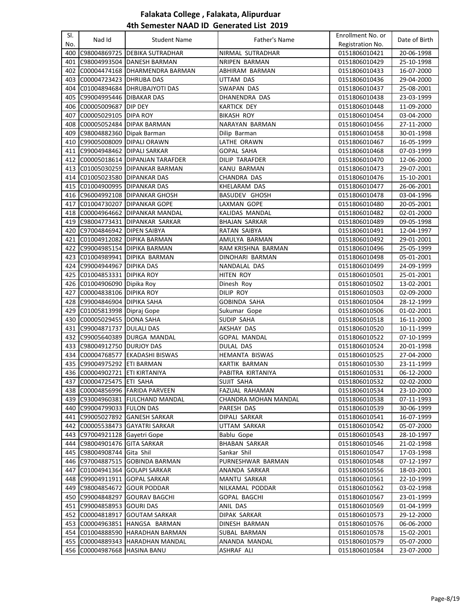| SI.<br>No. | Nad Id                            | <b>Student Name</b>                | Father's Name           | Enrollment No. or<br>Registration No. | Date of Birth            |
|------------|-----------------------------------|------------------------------------|-------------------------|---------------------------------------|--------------------------|
| 400        |                                   | C98004869725 DEBIKA SUTRADHAR      | NIRMAL SUTRADHAR        | 0151806010421                         | 20-06-1998               |
| 401        |                                   | C98004993504 DANESH BARMAN         | NRIPEN BARMAN           | 0151806010429                         | 25-10-1998               |
| 402        |                                   | C00004474168 DHARMENDRA BARMAN     | ABHIRAM BARMAN          | 0151806010433                         | 16-07-2000               |
|            | 403 C00004723423 DHRUBA DAS       |                                    | UTTAM DAS               | 0151806010436                         | 29-04-2000               |
|            |                                   | 404 C01004894684 DHRUBAJYOTI DAS   | SWAPAN DAS              | 0151806010437                         | 25-08-2001               |
| 405        | C99004995446 DIBAKAR DAS          |                                    | DHANENDRA DAS           | 0151806010438                         | 23-03-1999               |
| 406        | C00005009687 DIP DEY              |                                    | <b>KARTICK DEY</b>      | 0151806010448                         | 11-09-2000               |
| 407        | C00005029105 DIPA ROY             |                                    | BIKASH ROY              | 0151806010454                         | 03-04-2000               |
| 408        |                                   | C00005052484 DIPAK BARMAN          | NARAYAN BARMAN          | 0151806010456                         | 27-11-2000               |
| 409        | C98004882360 Dipak Barman         |                                    | Dilip Barman            | 0151806010458                         | 30-01-1998               |
| 410        | C99005008009   DIPALI ORAWN       |                                    | LATHE ORAWN             | 0151806010467                         | 16-05-1999               |
|            | 411 C99004948462 DIPALI SARKAR    |                                    | <b>GOPAL SAHA</b>       | 0151806010468                         | 07-03-1999               |
|            |                                   | 412 C00005018614 DIPANJAN TARAFDER | <b>DILIP TARAFDER</b>   | 0151806010470                         | 12-06-2000               |
|            |                                   | 413 C01005030259 DIPANKAR BARMAN   | KANU BARMAN             | 0151806010473                         | 29-07-2001               |
| 414        | C01005023580 DIPANKAR DAS         |                                    | CHANDRA DAS             | 0151806010476                         | 15-10-2001               |
|            | 415   C01004900995   DIPANKAR DAS |                                    | KHELARAM DAS            | 0151806010477                         | 26-06-2001               |
|            |                                   | 416 C96004992108 DIPANKAR GHOSH    | <b>BASUDEV GHOSH</b>    | 0151806010478                         | 03-04-1996               |
|            |                                   | 417 C01004730207 DIPANKAR GOPE     | LAXMAN GOPE             | 0151806010480                         | 20-05-2001               |
|            |                                   | 418 C00004964662 DIPANKAR MANDAL   | KALIDAS MANDAL          | 0151806010482                         | 02-01-2000               |
|            |                                   | 419 C98004773431 DIPANKAR SARKAR   | <b>BHAJAN SARKAR</b>    | 0151806010489                         | 09-05-1998               |
|            | 420 C97004846942 DIPEN SAIBYA     |                                    | RATAN SAIBYA            | 0151806010491                         | 12-04-1997               |
|            |                                   | 421 C01004912082 DIPIKA BARMAN     | AMULYA BARMAN           | 0151806010492                         | 29-01-2001               |
| 422        |                                   | C99004985154 DIPIKA BARMAN         | RAM KRISHNA BARMAN      | 0151806010496                         | 25-05-1999               |
|            |                                   | 423 C01004989941 DIPIKA BARMAN     | DINOHARI BARMAN         | 0151806010498                         | 05-01-2001               |
|            | 424 C99004944967 DIPIKA DAS       |                                    | NANDALAL DAS            | 0151806010499                         | 24-09-1999               |
|            | 425 C01004853331 DIPIKA ROY       |                                    | HITEN ROY               |                                       | 25-01-2001               |
|            | 426 C01004906090 Dipika Roy       |                                    |                         | 0151806010501<br>0151806010502        | 13-02-2001               |
| 427        | C00004838106 DIPIKA ROY           |                                    | Dinesh Roy<br>DILIP ROY | 0151806010503                         |                          |
|            | 428 C99004846904 DIPIKA SAHA      |                                    | <b>GOBINDA SAHA</b>     | 0151806010504                         | 02-09-2000<br>28-12-1999 |
| 429        | C01005813998 Dipraj Gope          |                                    | Sukumar Gope            | 0151806010506                         | 01-02-2001               |
|            | 430 C00005029455 DONA SAHA        |                                    | SUDIP SAHA              | 0151806010518                         | 16-11-2000               |
|            | 431 C99004871737 DULALI DAS       |                                    | AKSHAY DAS              | 0151806010520                         | 10-11-1999               |
|            |                                   | 432 C99005640389 DURGA MANDAL      | <b>GOPAL MANDAL</b>     | 0151806010522                         | 07-10-1999               |
|            | 433 C98004912750 DURJOY DAS       |                                    | DULAL DAS               | 0151806010524                         | 20-01-1998               |
|            |                                   | 434 C00004768577 EKADASHI BISWAS   | HEMANTA BISWAS          | 0151806010525                         | 27-04-2000               |
|            | 435 C99004975292 ETI BARMAN       |                                    | KARTIK BARMAN           | 0151806010530                         | 23-11-1999               |
|            | 436 C00004902721 ETI KIRTANIYA    |                                    | PABITRA KIRTANIYA       | 0151806010531                         | 06-12-2000               |
|            | 437 C00004725475 ETI SAHA         |                                    | SUJIT SAHA              | 0151806010532                         | 02-02-2000               |
|            |                                   | 438 C00004856996 FARIDA PARVEEN    | <b>FAZUAL RAHAMAN</b>   | 0151806010534                         | 23-10-2000               |
|            |                                   | 439 C93004960381 FULCHAND MANDAL   | CHANDRA MOHAN MANDAL    | 0151806010538                         | 07-11-1993               |
| 440        | C99004799033 FULON DAS            |                                    | PARESH DAS              | 0151806010539                         | 30-06-1999               |
| 441        |                                   | C99005027892 GANESH SARKAR         | DIPALI SARKAR           | 0151806010541                         | 16-07-1999               |
| 442        |                                   | C00005538473 GAYATRI SARKAR        | UTTAM SARKAR            | 0151806010542                         | 05-07-2000               |
| 443        | C97004921128 Gayetri Gope         |                                    | Bablu Gope              | 0151806010543                         | 28-10-1997               |
| 444        | C98004901476 GITA SARKAR          |                                    | <b>BHABAN SARKAR</b>    | 0151806010546                         | 21-02-1998               |
|            | 445 C98004908744 Gita Shil        |                                    | Sankar Shil             | 0151806010547                         | 17-03-1998               |
|            |                                   | 446 C97004887515 GOBINDA BARMAN    | PURNESHWAR BARMAN       | 0151806010548                         | 07-12-1997               |
| 447        |                                   | C01004941364 GOLAPI SARKAR         | ANANDA SARKAR           | 0151806010556                         | 18-03-2001               |
|            | 448 C99004911911 GOPAL SARKAR     |                                    | MANTU SARKAR            | 0151806010561                         | 22-10-1999               |
|            | 449 C98004854672 GOUR PODDAR      |                                    | NILKAMAL PODDAR         | 0151806010562                         | 03-02-1998               |
|            |                                   | 450 C99004848297 GOURAV BAGCHI     | <b>GOPAL BAGCHI</b>     | 0151806010567                         | 23-01-1999               |
|            | 451 C99004858953 GOURI DAS        |                                    | ANIL DAS                | 0151806010569                         | 01-04-1999               |
|            |                                   | 452 C00004818917 GOUTAM SARKAR     | DIPAK SARKAR            | 0151806010573                         | 29-12-2000               |
|            |                                   | 453 C00004963851 HANGSA BARMAN     | DINESH BARMAN           | 0151806010576                         | 06-06-2000               |
|            |                                   | 454 C01004888590 HARADHAN BARMAN   | SUBAL BARMAN            | 0151806010578                         | 15-02-2001               |
| 455        |                                   | C00004889343 HARADHAN MANDAL       | ANANDA MANDAL           | 0151806010579                         | 05-07-2000               |
|            | 456 C00004987668 HASINA BANU      |                                    | ASHRAF ALI              | 0151806010584                         | 23-07-2000               |
|            |                                   |                                    |                         |                                       |                          |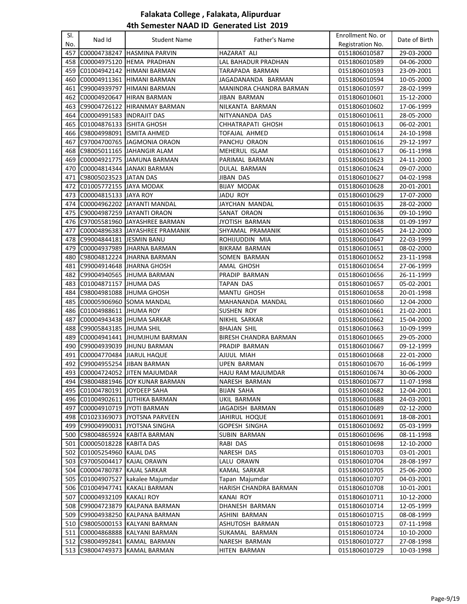| SI.<br>No. | Nad Id                         | <b>Student Name</b>                                            | Father's Name                           | Enrollment No. or<br>Registration No. | Date of Birth            |
|------------|--------------------------------|----------------------------------------------------------------|-----------------------------------------|---------------------------------------|--------------------------|
| 457        |                                | C00004738247 HASMINA PARVIN                                    | HAZARAT ALI                             | 0151806010587                         | 29-03-2000               |
| 458        |                                | C00004975120 HEMA PRADHAN                                      | LAL BAHADUR PRADHAN                     | 0151806010589                         | 04-06-2000               |
| 459        |                                | C01004942142 HIMANI BARMAN                                     | TARAPADA BARMAN                         | 0151806010593                         | 23-09-2001               |
|            |                                | 460 C00004911361 HIMANI BARMAN                                 | JAGADANANDA BARMAN                      | 0151806010594                         | 10-05-2000               |
|            |                                | 461 C99004939797 HIMANI BARMAN                                 | MANINDRA CHANDRA BARMAN                 | 0151806010597                         | 28-02-1999               |
|            |                                | 462 C00004920647 HIRAN BARMAN                                  | JIBAN BARMAN                            | 0151806010601                         | 15-12-2000               |
| 463        |                                | C99004726122 HIRANMAY BARMAN                                   | NILKANTA BARMAN                         | 0151806010602                         | 17-06-1999               |
|            | 464 C00004991583 INDRAJIT DAS  |                                                                | NITYANANDA DAS                          | 0151806010611                         | 28-05-2000               |
| 465        | C01004876133 ISHITA GHOSH      |                                                                | CHHATRAPATI GHOSH                       | 0151806010613                         | 06-02-2001               |
| 466        | C98004998091 ISMITA AHMED      |                                                                | <b>TOFAJAL AHMED</b>                    | 0151806010614                         | 24-10-1998               |
| 467        |                                | C97004700765 JAGMONIA ORAON                                    | PANCHU ORAON                            | 0151806010616                         | 29-12-1997               |
| 468        |                                | C98005011165 JJAHANGIR ALAM                                    | MEHERUL ISLAM                           | 0151806010617                         | 06-11-1998               |
| 469        |                                | C00004921775 JJAMUNA BARMAN                                    | PARIMAL BARMAN                          | 0151806010623                         | 24-11-2000               |
| 470        |                                | C00004814344 JANAKI BARMAN                                     | DULAL BARMAN                            | 0151806010624                         | 09-07-2000               |
| 471        | C98005023523 JJATAN DAS        |                                                                | JIBAN DAS                               | 0151806010627                         | 04-02-1998               |
|            | 472 C01005772155 JJAYA MODAK   |                                                                | <b>BIJAY MODAK</b>                      | 0151806010628                         | 20-01-2001               |
|            | 473 C00004815133 JAYA ROY      |                                                                |                                         | 0151806010629                         | 17-07-2000               |
|            |                                |                                                                | JADU ROY<br>JAYCHAN MANDAL              | 0151806010635                         |                          |
|            |                                | 474 C00004962202 JAYANTI MANDAL                                |                                         |                                       | 28-02-2000               |
|            |                                | 475 C90004987259 JAYANTI ORAON                                 | SANAT ORAON                             | 0151806010636                         | 09-10-1990               |
|            |                                | 476 C97005581960 JAYASHREE BARMAN                              | JYOTISH BARMAN                          | 0151806010638                         | 01-09-1997               |
|            |                                | 477  C00004896383  JAYASHREE PRAMANIK                          | SHYAMAL PRAMANIK                        | 0151806010645                         | 24-12-2000               |
|            | 478 C99004844181 JESMIN BANU   |                                                                | ROHIJUDDIN MIA                          | 0151806010647                         | 22-03-1999               |
| 479        |                                | C00004937989 JHARNA BARMAN                                     | <b>BIKRAM BARMAN</b>                    | 0151806010651                         | 08-02-2000               |
| 480        |                                | C98004812224 JHARNA BARMAN                                     | SOMEN BARMAN                            | 0151806010652                         | 23-11-1998               |
|            |                                | 481   C99004914648   JHARNA GHOSH                              | AMAL GHOSH                              | 0151806010654                         | 27-06-1999               |
| 482        |                                | C99004940565 JJHUMA BARMAN                                     | PRADIP BARMAN                           | 0151806010656                         | 26-11-1999               |
| 483        | C01004871157 JJHUMA DAS        |                                                                | <b>TAPAN DAS</b>                        | 0151806010657                         | 05-02-2001               |
| 484        | C98004981088 JJHUMA GHOSH      |                                                                | <b>MANTU GHOSH</b>                      | 0151806010658                         | 20-01-1998               |
| 485        |                                | C00005906960 SOMA MANDAL                                       | MAHANANDA MANDAL                        | 0151806010660                         | 12-04-2000               |
| 486        | C01004988611 JHUMA ROY         |                                                                | <b>SUSHEN ROY</b>                       | 0151806010661                         | 21-02-2001               |
| 487        |                                | C00004943438 JJHUMA SARKAR                                     | NIKHIL SARKAR                           | 0151806010662                         | 15-04-2000               |
| 488        | C99005843185 JHUMA SHIL        |                                                                | <b>BHAJAN SHIL</b>                      | 0151806010663                         | 10-09-1999               |
|            |                                | 489 C00004941441 JJHUMJHUM BARMAN                              | BIRESH CHANDRA BARMAN                   | 0151806010665                         | 29-05-2000               |
| 490        |                                | C99004939039 JJHUNU BARMAN                                     | PRADIP BARMAN                           | 0151806010667                         | 09-12-1999               |
| 491        | C00004770484 JIARUL HAQUE      |                                                                | AJIJUL MIAH                             | 0151806010668                         | 22-01-2000               |
|            | 492 C99004955254 JJJBAN BARMAN |                                                                | <b>UPEN BARMAN</b>                      | 0151806010670                         | 16-06-1999               |
|            |                                | 493 C00004724052 JITEN MAJUMDAR                                | HAJU RAM MAJUMDAR                       | 0151806010674                         | 30-06-2000               |
|            |                                | 494 C98004881946 JOY KUNAR BARMAN                              | NARESH BARMAN                           | 0151806010677                         | 11-07-1998               |
|            | 495 C01004780191 JOYDEEP SAHA  |                                                                | BIJAN SAHA                              | 0151806010682                         | 12-04-2001               |
|            |                                | 496 C01004902611 JUTHIKA BARMAN                                | UKIL BARMAN                             | 0151806010688                         | 24-03-2001               |
| 497        | C00004910719 JYOTI BARMAN      |                                                                | JAGADISH BARMAN                         | 0151806010689                         | 02-12-2000               |
| 498        |                                | C01023369073 JYOTSNA PARVEEN                                   | JAHIRUL HOQUE                           | 0151806010691                         | 18-08-2001               |
| 499        |                                | C99004990031 JYOTSNA SINGHA                                    | GOPESH SINGHA                           | 0151806010692                         | 05-03-1999               |
| 500        |                                | C98004865924 KABITA BARMAN                                     | SUBIN BARMAN                            | 0151806010696                         | 08-11-1998               |
|            | 501 C00005018228 KABITA DAS    |                                                                | RABI DAS                                | 0151806010698                         | 12-10-2000               |
|            | 502 C01005254960 KAJAL DAS     |                                                                | NARESH DAS                              | 0151806010703                         | 03-01-2001               |
|            | 503 C97005004417 KAJAL ORAWN   |                                                                | LALU ORAWN                              | 0151806010704                         | 28-08-1997               |
|            | 504 C00004780787 KAJAL SARKAR  |                                                                | KAMAL SARKAR                            | 0151806010705                         | 25-06-2000               |
|            | 505 C01004907527               | kakalee Majumdar<br>506 C01004947741 KAKALI BARMAN             | Tapan Majumdar<br>HARISH CHANDRA BARMAN | 0151806010707                         | 04-03-2001               |
| 507        | C00004932109 KAKALI ROY        |                                                                | <b>KANAI ROY</b>                        | 0151806010708<br>0151806010711        | 10-01-2001<br>10-12-2000 |
|            |                                | 508 C99004723879 KALPANA BARMAN                                |                                         |                                       |                          |
| 509        |                                |                                                                | DHANESH BARMAN<br>ASHINI BARMAN         | 0151806010714<br>0151806010715        | 12-05-1999               |
|            |                                | C99004938250 KALPANA BARMAN<br>510 C98005000153 KALYANI BARMAN | ASHUTOSH BARMAN                         | 0151806010723                         | 08-08-1999               |
|            |                                | 511 C00004868888 KALYANI BARMAN                                | SUKAMAL BARMAN                          | 0151806010724                         | 07-11-1998<br>10-10-2000 |
|            |                                | 512 C98004992841 KAMAL BARMAN                                  | NARESH BARMAN                           | 0151806010727                         | 27-08-1998               |
|            |                                |                                                                |                                         |                                       |                          |
| 513        | C98004749373                   | <b>KAMAL BARMAN</b>                                            | HITEN BARMAN                            | 0151806010729                         | 10-03-1998               |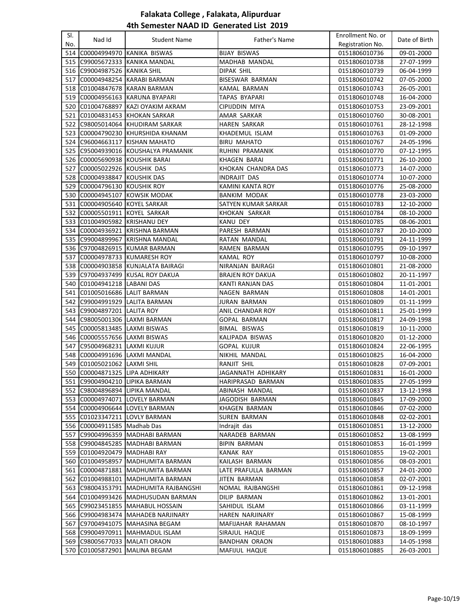| SI.<br>No. | Nad Id                                                           | <b>Student Name</b>                                            | Father's Name                               | Enrollment No. or<br>Registration No. | Date of Birth            |
|------------|------------------------------------------------------------------|----------------------------------------------------------------|---------------------------------------------|---------------------------------------|--------------------------|
|            | 514 C00004994970                                                 | KANIKA BISWAS                                                  | <b>BIJAY BISWAS</b>                         | 0151806010736                         | 09-01-2000               |
| 515        |                                                                  | C99005672333 KANIKA MANDAL                                     | MADHAB MANDAL                               | 0151806010738                         | 27-07-1999               |
|            | 516 C99004987526 KANIKA SHIL                                     |                                                                | <b>DIPAK SHIL</b>                           | 0151806010739                         | 06-04-1999               |
|            |                                                                  | 517  C00004948254  KARABI BARMAN                               | BISESWAR BARMAN                             | 0151806010742                         | 07-05-2000               |
|            |                                                                  | 518  C01004847678  KARAN BARMAN                                | KAMAL BARMAN                                | 0151806010743                         | 26-05-2001               |
|            |                                                                  | 519 C00004956163 KARUNA BYAPARI                                | TAPAS BYAPARI                               | 0151806010748                         | 16-04-2000               |
|            | 520 C01004768897                                                 | KAZI OYAKIM AKRAM                                              | CIPIJDDIN MIYA                              | 0151806010753                         | 23-09-2001               |
|            | 521 C01004831453                                                 | KHOKAN SARKAR                                                  | AMAR SARKAR                                 | 0151806010760                         | 30-08-2001               |
|            |                                                                  | 522  C98005014064  KHUDIRAM SARKAR                             | HAREN SARKAR                                | 0151806010761                         | 28-12-1998               |
|            | 523 C00004790230                                                 | KHURSHIDA KHANAM                                               | KHADEMUL ISLAM                              | 0151806010763                         | 01-09-2000               |
|            | 524 C96004663117                                                 | KISHAN MAHATO                                                  | <b>BIRU MAHATO</b>                          | 0151806010767                         | 24-05-1996               |
|            |                                                                  | 525 C95004939016 KOUSHALYA PRAMANIK                            | RUHINI PRAMANIK                             | 0151806010770                         | 07-12-1995               |
|            | 526  C00005690938  KOUSHIK BARAI                                 |                                                                | KHAGEN BARAI                                | 0151806010771                         | 26-10-2000               |
|            | 527 C00005022926 KOUSHIK DAS                                     |                                                                | KHOKAN CHANDRA DAS                          | 0151806010773                         | 14-07-2000               |
|            | 528 C00004938847                                                 | <b>KOUSHIK DAS</b>                                             | INDRAJIT DAS                                | 0151806010774                         | 10-07-2000               |
|            | 529  C00004796130  KOUSHIK ROY                                   |                                                                | KAMINI KANTA ROY                            | 0151806010776                         | 25-08-2000               |
|            | 530 C00004945107                                                 | KOWSIK MODAK                                                   | <b>BANKIM MODAK</b>                         | 0151806010778                         | 23-03-2000               |
|            |                                                                  |                                                                |                                             |                                       |                          |
|            | 531  C00004905640  KOYEL SARKAR<br>532 C00005501911 KOYEL SARKAR |                                                                | SATYEN KUMAR SARKAR                         | 0151806010783                         | 12-10-2000               |
|            |                                                                  |                                                                | KHOKAN SARKAR                               | 0151806010784                         | 08-10-2000               |
|            | 533 C01004905982 KRISHANU DEY                                    |                                                                | KANU DEY                                    | 0151806010785                         | 08-06-2001               |
|            |                                                                  | 534  C00004936921  KRISHNA BARMAN                              | PARESH BARMAN                               | 0151806010787                         | 20-10-2000               |
|            |                                                                  | 535  C99004899967  KRISHNA MANDAL                              | RATAN MANDAL                                | 0151806010791                         | 24-11-1999               |
|            |                                                                  | 536 C97004826915 KUMAR BARMAN<br>537 C00004978733 KUMARESH ROY | RAMEN BARMAN                                | 0151806010795                         | 09-10-1997<br>10-08-2000 |
|            |                                                                  | 538  C00004903858  KUNJALATA BAIRAGI                           | KAMAL ROY                                   | 0151806010797                         |                          |
|            |                                                                  | 539 C97004937499 KUSAL ROY DAKUA                               | NIRANJAN BAIRAGI                            | 0151806010801                         | 21-08-2000               |
|            | 540 C01004941218 LABANI DAS                                      |                                                                | <b>BRAJEN ROY DAKUA</b><br>KANTI RANJAN DAS | 0151806010802<br>0151806010804        | 20-11-1997<br>11-01-2001 |
| 541        | C01005016686 LALIT BARMAN                                        |                                                                | NAGEN BARMAN                                | 0151806010808                         | 14-01-2001               |
|            |                                                                  | 542 C99004991929 LALITA BARMAN                                 | <b>JURAN BARMAN</b>                         | 0151806010809                         | 01-11-1999               |
|            | 543 C99004897201 LALITA ROY                                      |                                                                | ANIL CHANDAR ROY                            | 0151806010811                         | 25-01-1999               |
|            |                                                                  | 544 C98005001306 LAXMI BARMAN                                  | GOPAL BARMAN                                | 0151806010817                         | 24-09-1998               |
|            | 545 C00005813485 LAXMI BISWAS                                    |                                                                | BIMAL BISWAS                                | 0151806010819                         | 10-11-2000               |
|            | 546  C00005557656  LAXMI BISWAS                                  |                                                                | KALIPADA BISWAS                             | 0151806010820                         | 01-12-2000               |
|            | 547 C95004968231 LAXMI KUJUR                                     |                                                                | GOPAL KUJUR                                 | 0151806010824                         | 22-06-1995               |
| 548        |                                                                  | C00004991696 LAXMI MANDAL                                      | NIKHIL MANDAL                               | 0151806010825                         | 16-04-2000               |
|            | 549  C01005021062  LAXMI SHIL                                    |                                                                | RANJIT SHIL                                 | 0151806010828                         | 07-09-2001               |
|            | 550 C00004871325 LIPA ADHIKARY                                   |                                                                | JAGANNATH ADHIKARY                          | 0151806010831                         | 16-01-2000               |
|            |                                                                  | 551 C99004904210 LIPIKA BARMAN                                 | HARIPRASAD BARMAN                           | 0151806010835                         | 27-05-1999               |
|            |                                                                  | 552 C98004896894 LIPIKA MANDAL                                 | ABINASH MANDAL                              | 0151806010837                         | 13-12-1998               |
|            |                                                                  | 553 C00004974071 LOVELY BARMAN                                 | JAGODISH BARMAN                             | 0151806010845                         | 17-09-2000               |
|            |                                                                  | 554  C00004906644  LOVELY BARMAN                               | KHAGEN BARMAN                               | 0151806010846                         | 07-02-2000               |
|            |                                                                  | 555 C01023347211 LOVLY BARMAN                                  | <b>SUREN BARMAN</b>                         | 0151806010848                         | 02-02-2001               |
|            | 556 C00004911585 Madhab Das                                      |                                                                | Indrajit das                                | 0151806010851                         | 13-12-2000               |
| 557        |                                                                  | C99004996359 MADHABI BARMAN                                    | NARADEB BARMAN                              | 0151806010852                         | 13-08-1999               |
|            |                                                                  | 558 C99004845285 MADHABI BARMAN                                | <b>BIPIN BARMAN</b>                         | 0151806010853                         | 16-01-1999               |
|            | 559 C01004920479 MADHABI RAY                                     |                                                                | <b>KANAK RAY</b>                            | 0151806010855                         | 19-02-2001               |
|            |                                                                  | 560 C01004958957 MADHUMITA BARMAN                              | KAILASH BARMAN                              | 0151806010856                         | 08-03-2001               |
|            |                                                                  | 561 C00004871881 MADHUMITA BARMAN                              | LATE PRAFULLA BARMAN                        | 0151806010857                         | 24-01-2000               |
|            |                                                                  | 562 C01004988101 MADHUMITA BARMAN                              | JITEN BARMAN                                | 0151806010858                         | 02-07-2001               |
|            |                                                                  | 563 C98004353791 MADHUMITA RAJBANGSHI                          | NOMAL RAJBANGSHI                            | 0151806010861                         | 09-12-1998               |
|            |                                                                  | 564  C01004993426  MADHUSUDAN BARMAN                           | DILIP BARMAN                                | 0151806010862                         | 13-01-2001               |
|            |                                                                  | 565 C99023451855 MAHABUL HOSSAIN                               | SAHIDUL ISLAM                               | 0151806010866                         | 03-11-1999               |
|            |                                                                  | 566 C99004983474 MAHADEB NARJINARY                             | HAREN NARJINARY                             | 0151806010867                         | 15-08-1999               |
|            |                                                                  | 567 C97004941075 MAHASINA BEGAM                                | MAFIJAHAR RAHAMAN                           | 0151806010870                         | 08-10-1997               |
|            |                                                                  | 568 C99004970911 MAHMADUL ISLAM                                | SIRAJUL HAQUE                               | 0151806010873                         | 18-09-1999               |
|            |                                                                  | 569 C98005677033 MALATI ORAON                                  | <b>BANDHAN ORAON</b>                        | 0151806010883                         | 14-05-1998               |
|            |                                                                  | 570 C01005872901 MALINA BEGAM                                  | MAFIJUL HAQUE                               | 0151806010885                         | 26-03-2001               |
|            |                                                                  |                                                                |                                             |                                       |                          |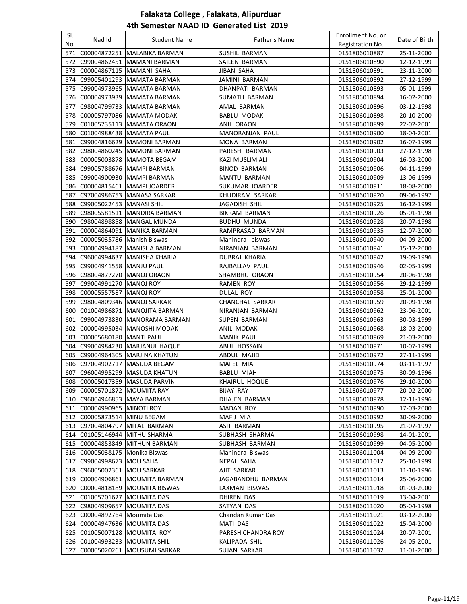| SI. |                                |                                |                      | Enrollment No. or |               |
|-----|--------------------------------|--------------------------------|----------------------|-------------------|---------------|
| No. | Nad Id                         | <b>Student Name</b>            | Father's Name        | Registration No.  | Date of Birth |
| 571 |                                | C00004872251 MALABIKA BARMAN   | SUSHIL BARMAN        | 0151806010887     | 25-11-2000    |
| 572 |                                | C99004862451   MAMANI BARMAN   | SAILEN BARMAN        | 0151806010890     | 12-12-1999    |
|     | 573 C00004867115 MAMANI SAHA   |                                | JIBAN SAHA           | 0151806010891     | 23-11-2000    |
| 574 |                                | C99005401293 MAMATA BARMAN     | JAMINI BARMAN        | 0151806010892     | 27-12-1999    |
| 575 |                                | C99004973965   MAMATA BARMAN   | DHANPATI BARMAN      | 0151806010893     | 05-01-1999    |
|     |                                | 576 C00004973939 MAMATA BARMAN | SUMATH BARMAN        | 0151806010894     | 16-02-2000    |
| 577 |                                | C98004799733 MAMATA BARMAN     | AMAL BARMAN          | 0151806010896     | 03-12-1998    |
| 578 |                                | C00005797086   MAMATA MODAK    | <b>BABLU MODAK</b>   | 0151806010898     | 20-10-2000    |
| 579 |                                | C01005735113   MAMATA ORAON    | ANIL ORAON           | 0151806010899     | 22-02-2001    |
| 580 | C01004988438   MAMATA PAUL     |                                | MANORANJAN PAUL      | 0151806010900     | 18-04-2001    |
| 581 |                                | C99004816629   MAMONI BARMAN   | MONA BARMAN          | 0151806010902     | 16-07-1999    |
|     |                                |                                |                      |                   |               |
| 582 |                                | C98004860245  MAMONI BARMAN    | PARESH BARMAN        | 0151806010903     | 27-12-1998    |
| 583 |                                | C00005003878   MAMOTA BEGAM    | KAZI MUSLIM ALI      | 0151806010904     | 16-03-2000    |
| 584 | C99005788676                   | <b>MAMPI BARMAN</b>            | <b>BINOD BARMAN</b>  | 0151806010906     | 04-11-1999    |
| 585 | C99004900930                   | <b>MAMPI BARMAN</b>            | MANTU BARMAN         | 0151806010909     | 13-06-1999    |
| 586 | C00004815461                   | <b>MAMPI JOARDER</b>           | SUKUMAR JOARDER      | 0151806010911     | 18-08-2000    |
| 587 |                                | C97004986753 MANASA SARKAR     | KHUDIRAM SARKAR      | 0151806010920     | 09-06-1997    |
| 588 | C99005022453  MANASI SHIL      |                                | JAGADISH SHIL        | 0151806010925     | 16-12-1999    |
| 589 |                                | C98005581511 MANDIRA BARMAN    | <b>BIKRAM BARMAN</b> | 0151806010926     | 05-01-1998    |
| 590 |                                | C98004898858   MANGAL MUNDA    | <b>BUDHU MUNDA</b>   | 0151806010928     | 20-07-1998    |
| 591 |                                | C00004864091 MANIKA BARMAN     | RAMPRASAD BARMAN     | 0151806010935     | 12-07-2000    |
| 592 | C00005035786 Manish Biswas     |                                | Manindra biswas      | 0151806010940     | 04-09-2000    |
| 593 |                                | C00004994187 MANISHA BARMAN    | NIRANJAN BARMAN      | 0151806010941     | 15-12-2000    |
| 594 |                                | C96004994637 MANISHA KHARIA    | DUBRAJ KHARIA        | 0151806010942     | 19-09-1996    |
| 595 | C99004941558 MANJU PAUL        |                                | RAJBALLAV PAUL       | 0151806010946     | 02-05-1999    |
|     | 596 C98004877270 MANOJ ORAON   |                                | SHAMBHU ORAON        | 0151806010954     | 20-06-1998    |
| 597 | C99004991270                   | MANOJ ROY                      | RAMEN ROY            | 0151806010956     | 29-12-1999    |
| 598 | C00005557587                   | MANOJ ROY                      | DULAL ROY            | 0151806010958     | 25-01-2000    |
| 599 |                                | C98004809346   MANOJ SARKAR    | CHANCHAL SARKAR      | 0151806010959     | 20-09-1998    |
| 600 |                                | C01004986871   MANOJITA BARMAN | NIRANJAN BARMAN      | 0151806010962     | 23-06-2001    |
| 601 | C99004973830                   | MANORAMA BARMAN                | SUPEN BARMAN         | 0151806010963     | 30-03-1999    |
| 602 |                                | C00004995034 MANOSHI MODAK     | ANIL MODAK           | 0151806010968     | 18-03-2000    |
| 603 | C00005680180   MANTI PAUL      |                                | <b>MANIK PAUL</b>    | 0151806010969     | 21-03-2000    |
| 604 |                                | C99004984230   MARJANUL HAQUE  | ABUL HOSSAIN         | 0151806010971     | 10-07-1999    |
| 605 |                                | C99004964305 MARJINA KHATUN    | <b>ABDUL MAJID</b>   | 0151806010972     | 27-11-1999    |
|     |                                | 606 C97004902717 MASUDA BEGAM  | MAFEL MIA            | 0151806010974     | 03-11-1997    |
|     |                                | 607 C96004995299 MASUDA KHATUN | <b>BABLU MIAH</b>    | 0151806010975     | 30-09-1996    |
| 608 |                                | C00005017359 MASUDA PARVIN     | <b>KHAIRUL HOQUE</b> | 0151806010976     | 29-10-2000    |
| 609 | C00005701872   MOUMITA RAY     |                                | <b>BIJAY RAY</b>     | 0151806010977     | 20-02-2000    |
| 610 |                                | C96004946853   MAYA BARMAN     | <b>DHAJEN BARMAN</b> | 0151806010978     | 12-11-1996    |
| 611 | C00004990965 MINOTI ROY        |                                | <b>MADAN ROY</b>     | 0151806010990     | 17-03-2000    |
| 612 | C00005873514 MINU BEGAM        |                                | MAFIJ MIA            | 0151806010992     | 30-09-2000    |
|     | 613 C97004804797               | <b>MITALI BARMAN</b>           | <b>ASIT BARMAN</b>   | 0151806010995     | 21-07-1997    |
|     |                                | 614 C01005146944 MITHU SHARMA  | SUBHASH SHARMA       | 0151806010998     | 14-01-2001    |
|     |                                | 615 C00004853849 MITHUN BARMAN | SUBHASH BARMAN       | 0151806010999     | 04-05-2000    |
|     | 616 C00005038175 Monika Biswas |                                | Manindra Biswas      | 0151806011004     | 04-09-2000    |
|     | 617 C99004998673 MOU SAHA      |                                | NEPAL SAHA           | 0151806011012     | 25-10-1999    |
| 618 | C96005002361   MOU SARKAR      |                                | AJIT SARKAR          | 0151806011013     | 11-10-1996    |
| 619 |                                | C00004906861 MOUMITA BARMAN    | JAGABANDHU BARMAN    | 0151806011014     | 25-06-2000    |
| 620 |                                | C00004818189 MOUMITA BISWAS    | LAXMAN BISWAS        | 0151806011018     | 01-03-2000    |
|     | 621 C01005701627 MOUMITA DAS   |                                | DHIREN DAS           | 0151806011019     | 13-04-2001    |
| 622 | C98004909657                   | <b>MOUMITA DAS</b>             | SATYAN DAS           | 0151806011020     | 05-04-1998    |
|     | 623 C00004892764 Moumita Das   |                                | Chandan Kumar Das    | 0151806011021     | 03-12-2000    |
| 624 | C00004947636 MOUMITA DAS       |                                | <b>MATI DAS</b>      | 0151806011022     | 15-04-2000    |
| 625 |                                | C01005007128 MOUMITA ROY       | PARESH CHANDRA ROY   | 0151806011024     | 20-07-2001    |
|     | 626 C01004993233 MOUMITA SHIL  |                                | KALIPADA SHIL        | 0151806011026     | 24-05-2001    |
| 627 |                                | C00005020261 MOUSUMI SARKAR    | SUJAN SARKAR         | 0151806011032     | 11-01-2000    |
|     |                                |                                |                      |                   |               |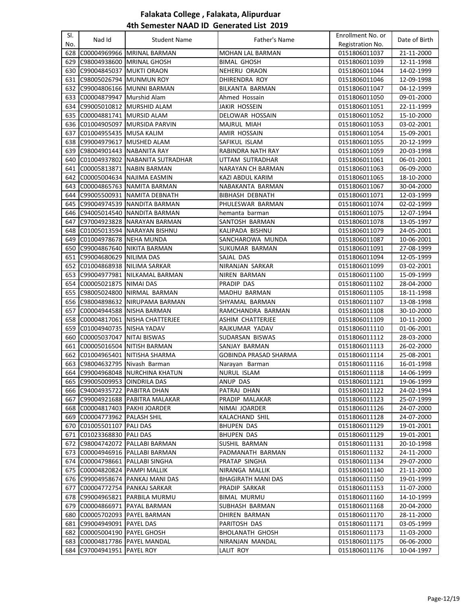| SI. |                               |                                      |                              | Enrollment No. or |               |
|-----|-------------------------------|--------------------------------------|------------------------------|-------------------|---------------|
| No. | Nad Id                        | <b>Student Name</b>                  | Father's Name                | Registration No.  | Date of Birth |
| 628 |                               | C00004969966 MRINAL BARMAN           | <b>MOHAN LAL BARMAN</b>      | 0151806011037     | 21-11-2000    |
| 629 |                               | C98004938600   MRINAL GHOSH          | <b>BIMAL GHOSH</b>           | 0151806011039     | 12-11-1998    |
| 630 | C99004845037 MUKTI ORAON      |                                      | <b>NEHERU ORAON</b>          | 0151806011044     | 14-02-1999    |
| 631 | C98005026794 MUNMUN ROY       |                                      | DHIRENDRA ROY                | 0151806011046     | 12-09-1998    |
| 632 |                               | C99004806166 MUNNI BARMAN            | BILKANTA BARMAN              | 0151806011047     | 04-12-1999    |
| 633 | C00004879947 Murshid Alam     |                                      | Ahmed Hossain                | 0151806011050     | 09-01-2000    |
|     |                               | 634 C99005010812 MURSHID ALAM        | <b>JAKIR HOSSEIN</b>         | 0151806011051     | 22-11-1999    |
| 635 | C00004881741 MURSID ALAM      |                                      | DELOWAR HOSSAIN              | 0151806011052     | 15-10-2000    |
| 636 |                               | C01004905097 MURSIDA PARVIN          | MAJRUL MIAH                  | 0151806011053     | 03-02-2001    |
| 637 | C01004955435 MUSA KALIM       |                                      | AMIR HOSSAIN                 | 0151806011054     | 15-09-2001    |
| 638 | C99004979617 MUSHED ALAM      |                                      | SAFIKUL ISLAM                | 0151806011055     | 20-12-1999    |
| 639 | C98004901443 NABANITA RAY     |                                      | <b>RABINDRA NATH RAY</b>     | 0151806011059     | 20-03-1998    |
| 640 |                               | C01004937802 NABANITA SUTRADHAR      | UTTAM SUTRADHAR              | 0151806011061     | 06-01-2001    |
| 641 | C00005813871                  | NABIN BARMAN                         | NARAYAN CH BARMAN            | 0151806011063     | 06-09-2000    |
| 642 |                               | C00005004634 NAJIMA EASMIN           | KAZI ABDUL KARIM             | 0151806011065     | 18-10-2000    |
| 643 |                               | C00004865763 NAMITA BARMAN           | NABAKANTA BARMAN             | 0151806011067     | 30-04-2000    |
| 644 |                               | C99005500931 NAMITA DEBNATH          | <b>BIBHASH DEBNATH</b>       | 0151806011071     | 12-03-1999    |
| 645 |                               | C99004974539 NANDITA BARMAN          | PHULESWAR BARMAN             | 0151806011074     | 02-02-1999    |
|     |                               | 646 C94005014540 NANDITA BARMAN      | hemanta barman               | 0151806011075     | 12-07-1994    |
| 647 |                               | C97004923828   NARAYAN BARMAN        | SANTOSH BARMAN               | 0151806011078     | 13-05-1997    |
| 648 |                               | C01005013594 NARAYAN BISHNU          | KALIPADA BISHNU              | 0151806011079     | 24-05-2001    |
| 649 | C01004978678 NEHA MUNDA       |                                      | SANCHAROWA MUNDA             | 0151806011087     | 10-06-2001    |
| 650 |                               | C99004867640 NIKITA BARMAN           | SUKUMAR BARMAN               | 0151806011091     | 27-08-1999    |
| 651 | C99004680629 NILIMA DAS       |                                      | SAJAL DAS                    | 0151806011094     | 12-05-1999    |
| 652 |                               | C01004868938 NILIMA SARKAR           | NIRANJAN SARKAR              | 0151806011099     | 03-02-2001    |
| 653 |                               | C99004977981 NILKAMAL BARMAN         | NIREN BARMAN                 | 0151806011100     | 15-09-1999    |
| 654 | C00005021875 NIMAI DAS        |                                      | PRADIP DAS                   | 0151806011102     | 28-04-2000    |
| 655 |                               | C98005024800 NIRMAL BARMAN           | MADHU BARMAN                 | 0151806011105     | 18-11-1998    |
|     |                               | 656 C98004898632 NIRUPAMA BARMAN     | SHYAMAL BARMAN               | 0151806011107     | 13-08-1998    |
| 657 |                               | C00004944588 NISHA BARMAN            | RAMCHANDRA BARMAN            | 0151806011108     | 30-10-2000    |
| 658 |                               | C00004817061   NISHA CHATTERJEE      | ASHIM CHATTERJEE             | 0151806011109     | 10-11-2000    |
| 659 | C01004940735 NISHA YADAV      |                                      | RAJKUMAR YADAV               | 0151806011110     | 01-06-2001    |
| 660 | C00005037047   NITAI BISWAS   |                                      | SUDARSAN BISWAS              | 0151806011112     | 28-03-2000    |
| 661 |                               | C00005016504 NITISH BARMAN           | SANJAY BARMAN                | 0151806011113     | 26-02-2000    |
| 662 |                               | C01004965401 NITISHA SHARMA          | <b>GOBINDA PRASAD SHARMA</b> | 0151806011114     | 25-08-2001    |
| 663 | C98004632795 Nivash Barman    |                                      | Narayan Barman               | 0151806011116     | 16-01-1998    |
|     |                               | 664 C99004968048 NURCHINA KHATUN     | NURUL ISLAM                  | 0151806011118     | 14-06-1999    |
|     | 665 C99005009953 OINDRILA DAS |                                      | ANUP DAS                     | 0151806011121     | 19-06-1999    |
|     | 666 C94004935722 PABITRA DHAN |                                      | PATRAJ DHAN                  | 0151806011122     | 24-02-1994    |
|     |                               | 667   C99004921688   PABITRA MALAKAR | PRADIP MALAKAR               | 0151806011123     | 25-07-1999    |
| 668 |                               | C00004817403   PAKHI JOARDER         | NIMAI JOARDER                | 0151806011126     | 24-07-2000    |
| 669 | C00004773962   PALASH SHIL    |                                      | KALACHAND SHIL               | 0151806011128     | 24-07-2000    |
| 670 | C01005501107   PALI DAS       |                                      | <b>BHUPEN DAS</b>            | 0151806011129     | 19-01-2001    |
| 671 | C01023368830 PALI DAS         |                                      | <b>BHUPEN DAS</b>            | 0151806011129     | 19-01-2001    |
|     |                               | 672 C98004742072 PALLABI BARMAN      | SUSHIL BARMAN                | 0151806011131     | 20-10-1998    |
|     |                               | 673 C00004946916 PALLABI BARMAN      | PADMANATH BARMAN             | 0151806011132     | 24-11-2000    |
|     |                               | 674 C00004798661 PALLABI SINGHA      | PRATAP SINGHA                | 0151806011134     | 29-07-2000    |
|     | 675 C00004820824 PAMPI MALLIK |                                      | NIRANGA MALLIK               | 0151806011140     | 21-11-2000    |
|     |                               | 676  C99004958674  PANKAJ MANI DAS   | BHAGIRATH MANI DAS           | 0151806011150     | 19-01-1999    |
|     |                               | 677 C00004772754 PANKAJ SARKAR       | PRADIP SARKAR                | 0151806011153     | 11-07-2000    |
|     |                               | 678 C99004965821 PARBILA MURMU       | <b>BIMAL MURMU</b>           | 0151806011160     | 14-10-1999    |
|     |                               | 679 C00004866971 PAYAL BARMAN        | SUBHASH BARMAN               |                   |               |
|     |                               |                                      |                              | 0151806011168     | 20-04-2000    |
|     |                               | 680 C00005702093 PAYEL BARMAN        | DHIREN BARMAN                | 0151806011170     | 28-11-2000    |
|     | 681 C99004949091 PAYEL DAS    |                                      | PARITOSH DAS                 | 0151806011171     | 03-05-1999    |
|     | 682 C00005004190 PAYEL GHOSH  |                                      | <b>BHOLANATH GHOSH</b>       | 0151806011173     | 11-03-2000    |
| 683 |                               | C00004817786 PAYEL MANDAL            | NIRANJAN MANDAL              | 0151806011175     | 06-06-2000    |
|     | 684 C97004941951 PAYEL ROY    |                                      | LALIT ROY                    | 0151806011176     | 10-04-1997    |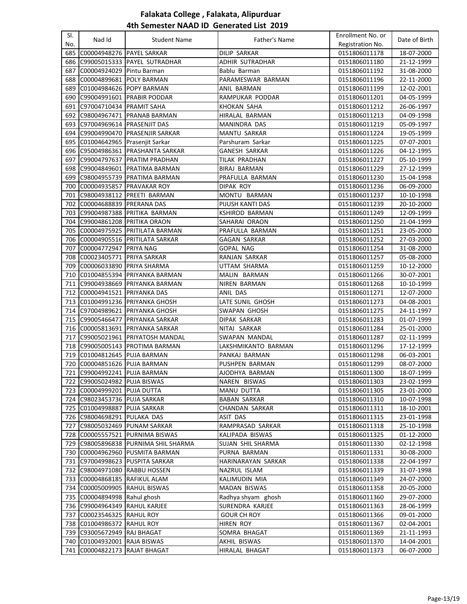| SI.<br>No. | Nad Id                            | <b>Student Name</b>                   | Father's Name         | Enrollment No. or<br>Registration No. | Date of Birth |
|------------|-----------------------------------|---------------------------------------|-----------------------|---------------------------------------|---------------|
| 685        | C00004948276 PAYEL SARKAR         |                                       | <b>DILIP SARKAR</b>   | 0151806011178                         | 18-07-2000    |
| 686        |                                   | C99005015333  PAYEL SUTRADHAR         | ADHIR SUTRADHAR       | 0151806011180                         | 21-12-1999    |
| 687        | C00004924029 Pintu Barman         |                                       | Bablu Barman          | 0151806011192                         | 31-08-2000    |
|            | 688 C00004899681 POLY BARMAN      |                                       | PARAMESWAR BARMAN     | 0151806011196                         | 22-11-2000    |
| 689        | C01004984626 POPY BARMAN          |                                       | ANIL BARMAN           | 0151806011199                         | 12-02-2001    |
|            |                                   | 690 C99004991601 PRABIR PODDAR        | RAMPUKAR PODDAR       | 0151806011201                         | 04-05-1999    |
|            | 691 C97004710434 PRAMIT SAHA      |                                       | KHOKAN SAHA           | 0151806011212                         | 26-06-1997    |
|            |                                   | 692 C98004967471 PRANAB BARMAN        | <b>HIRALAL BARMAN</b> | 0151806011213                         | 04-09-1998    |
|            | 693 C97004969614 PRASENJIT DAS    |                                       | MANINDRA DAS          | 0151806011219                         | 05-09-1997    |
| 694        |                                   | C99004990470   PRASENJIR SARKAR       | MANTU SARKAR          | 0151806011224                         | 19-05-1999    |
|            | 695 C01004642965 Prasenjit Sarkar |                                       | Parshuram Sarkar      | 0151806011225                         | 07-07-2001    |
|            |                                   | 696 C95004986361 PRASHANTA SARKAR     | <b>GANESH SARKAR</b>  | 0151806011226                         | 04-12-1995    |
| 697        |                                   | C99004797637 PRATIM PRADHAN           | TILAK PRADHAN         | 0151806011227                         | 05-10-1999    |
|            |                                   | 698 C99004849601 PRATIMA BARMAN       | BIRAJ BARMAN          | 0151806011229                         | 27-12-1999    |
| 699        |                                   | C98004955739 PRATIMA BARMAN           | PRAFULLA BARMAN       | 0151806011230                         | 15-04-1998    |
|            | 700 C00004935857 PRAVAKAR ROY     |                                       | DIPAK ROY             | 0151806011236                         | 06-09-2000    |
|            | 701 C98004938112                  | <b>PREETI BARMAN</b>                  | MONTU BARMAN          | 0151806011237                         | 10-10-1998    |
| 702        | C00004688839   PRERANA DAS        |                                       | PIJUSH KANTI DAS      | 0151806011239                         | 20-10-2000    |
| 703        |                                   | C99004987388 PRITIKA BARMAN           | KSHIROD BARMAN        | 0151806011249                         | 12-09-1999    |
|            |                                   | 704 C99004861208 PRITIKA ORAON        | SAHARAI ORAON         | 0151806011250                         | 21-04-1999    |
|            |                                   | 705 C00004975925 PRITILATA BARMAN     | PRAFULLA BARMAN       | 0151806011251                         | 23-05-2000    |
|            |                                   | 706 C00004905516 PRITILATA SARKAR     | <b>GAGAN SARKAR</b>   | 0151806011252                         | 27-03-2000    |
| 707        | C00004772947   PRIYA NAG          |                                       | GOPAL NAG             | 0151806011254                         | 31-08-2000    |
| 708        | C00023405771  PRIYA SARKAR        |                                       | RANJAN SARKAR         | 0151806011257                         | 05-08-2000    |
|            | 709   C00006033890   PRIYA SHARMA |                                       | UTTAM SHARMA          | 0151806011259                         | 10-12-2000    |
| 710        |                                   | C01004855394 PRIYANKA BARMAN          | MALIN BARMAN          | 0151806011266                         | 30-07-2001    |
| 711        |                                   | C99004938669 PRIYANKA BARMAN          | NIREN BARMAN          | 0151806011268                         | 10-10-1999    |
| 712        | C00004941521 PRIYANKA DAS         |                                       | ANIL DAS              | 0151806011271                         | 12-07-2000    |
|            |                                   | 713   C01004991236   PRIYANKA GHOSH   | LATE SUNIL GHOSH      | 0151806011273                         | 04-08-2001    |
|            |                                   | 714   C97004989621   PRIYANKA GHOSH   | SWAPAN GHOSH          | 0151806011275                         | 24-11-1997    |
|            |                                   | 715   C99005466477   PRIYANKA SARKAR  | DIPAK SARKAR          | 0151806011283                         | 01-07-1999    |
|            |                                   | 716 C00005813691 PRIYANKA SARKAR      | NITAI SARKAR          | 0151806011284                         | 25-01-2000    |
|            |                                   | 717   C99005021961   PRIYATOSH MANDAL | SWAPAN MANDAL         | 0151806011287                         | 02-11-1999    |
|            |                                   | 718 C99005005143 PROTIMA BARMAN       | LAKSHMIKANTO BARMAN   | 0151806011296                         | 17-12-1999    |
|            | 719 C01004812645 PUJA BARMAN      |                                       | PANKAJ BARMAN         | 0151806011298                         | 06-03-2001    |
|            | 720 C00004851626 PUJA BARMAN      |                                       | PUSHPEN BARMAN        | 0151806011299                         | 08-07-2000    |
|            | 721 C99004992241 PUJA BARMAN      |                                       | AJODHYA BARMAN        | 0151806011300                         | 18-07-1999    |
|            | 722 C99005024982 PUJA BISWAS      |                                       | NAREN BISWAS          | 0151806011303                         | 23-02-1999    |
|            | 723   C00004999201   PUJA DUTTA   |                                       | MANU DUTTA            | 0151806011305                         | 23-01-2000    |
|            | 724   C98023453736   PUJA SARKAR  |                                       | BABAN SARKAR          | 0151806011310                         | 10-07-1998    |
|            | 725 C01004998887 PUJA SARKAR      |                                       | <b>CHANDAN SARKAR</b> | 0151806011311                         | 18-10-2001    |
|            | 726 C98004698291 PULAKA DAS       |                                       | ASIT DAS              | 0151806011315                         | 23-01-1998    |
| 727        |                                   | C98005032469 PUNAM SARKAR             | RAMPRASAD SARKAR      | 0151806011318                         | 25-10-1998    |
|            |                                   | 728 C00005557521 PURNIMA BISWAS       | KALIPADA BISWAS       | 0151806011325                         | 01-12-2000    |
|            |                                   | 729 C98005896838 PURNIMA SHIL SHARMA  | SUJAN SHIL SHARMA     | 0151806011330                         | 02-12-1998    |
|            |                                   | 730 C00004962960 PUSMITA BARMAN       | PURNA BARMAN          | 0151806011331                         | 30-08-2000    |
|            |                                   | 731 C97004998623 PUSPITA SARKAR       | HARINARAYAN SARKAR    | 0151806011338                         | 22-04-1997    |
|            |                                   | 732 C98004971080 RABBU HOSSEN         | NAZRUL ISLAM          | 0151806011339                         | 31-07-1998    |
|            | 733 C00004868185 RAFIKUL ALAM     |                                       | KALIMUDIN MIA         | 0151806011349                         | 24-07-2000    |
|            | 734 C00005009905 RAHUL BISWAS     |                                       | MADAN BISWAS          | 0151806011358                         | 20-05-2000    |
|            | 735 C00004894998 Rahul ghosh      |                                       | Radhya shyam ghosh    | 0151806011360                         | 29-07-2000    |
|            | 736 C99004964349 RAHUL KARJEE     |                                       | SURENDRA KARJEE       | 0151806011363                         | 28-06-1999    |
|            | 737 C00023546325 RAHUL ROY        |                                       | <b>GOUR CH ROY</b>    | 0151806011366                         | 09-01-2000    |
|            | 738 C01004986372 RAHUL ROY        |                                       | HIREN ROY             | 0151806011367                         | 02-04-2001    |
|            | 739 C93005672949 RAJ BHAGAT       |                                       | SOMRA BHAGAT          | 0151806011369                         | 21-11-1993    |
|            | 740 C01004932001 RAJA BISWAS      |                                       | AKHIL BISWAS          | 0151806011370                         | 14-04-2001    |
| 741        | C00004822173 RAJAT BHAGAT         |                                       | HIRALAL BHAGAT        | 0151806011373                         | 06-07-2000    |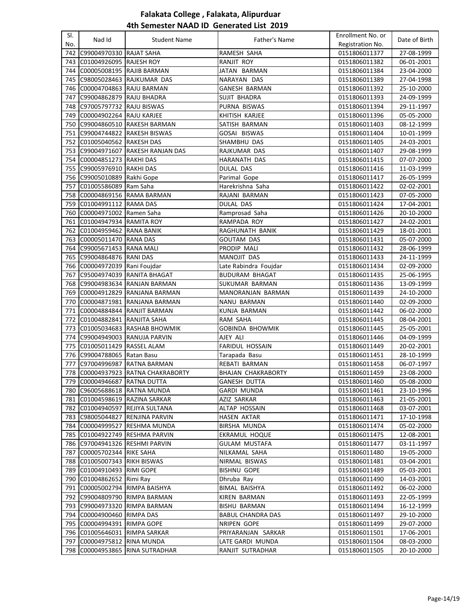| SI. | Nad Id                        | <b>Student Name</b>                | Father's Name            | Enrollment No. or | Date of Birth               |
|-----|-------------------------------|------------------------------------|--------------------------|-------------------|-----------------------------|
| No. |                               |                                    |                          | Registration No.  |                             |
| 742 | C99004970330                  | <b>RAJAT SAHA</b>                  | RAMESH SAHA              | 0151806011377     | 27-08-1999                  |
| 743 | C01004926095 RAJESH ROY       |                                    | RANJIT ROY               | 0151806011382     | 06-01-2001                  |
| 744 | C00005008195 RAJIB BARMAN     |                                    | JATAN BARMAN             | 0151806011384     | 23-04-2000                  |
| 745 |                               | C98005028463 RAJKUMAR DAS          | NARAYAN DAS              | 0151806011389     | 27-04-1998                  |
| 746 | C00004704863 RAJU BARMAN      |                                    | <b>GANESH BARMAN</b>     | 0151806011392     | 25-10-2000                  |
| 747 | C99004862879 RAJU BHADRA      |                                    | <b>SUJIT BHADRA</b>      | 0151806011393     | 24-09-1999                  |
| 748 | C97005797732                  | <b>RAJU BISWAS</b>                 | PURNA BISWAS             | 0151806011394     | 29-11-1997                  |
| 749 | C00004902264 RAJU KARJEE      |                                    | KHITISH KARJEE           | 0151806011396     | 05-05-2000                  |
| 750 |                               | C99004860510 RAKESH BARMAN         | SATISH BARMAN            | 0151806011403     | 08-12-1999                  |
| 751 |                               | C99004744822 RAKESH BISWAS         | GOSAI BISWAS             | 0151806011404     | 10-01-1999                  |
| 752 | C01005040562 RAKESH DAS       |                                    | SHAMBHU DAS              | 0151806011405     | 24-03-2001                  |
| 753 | C99004971607                  | <b>RAKESH RANJAN DAS</b>           | RAJKUMAR DAS             | 0151806011407     | 29-08-1999                  |
| 754 | C00004851273 RAKHI DAS        |                                    | HARANATH DAS             | 0151806011415     | 07-07-2000                  |
| 755 | C99005976910 RAKHI DAS        |                                    | DULAL DAS                | 0151806011416     | 11-03-1999                  |
| 756 | C99005010889                  | Rakhi Gope                         | Parimal Gope             | 0151806011417     | 26-05-1999                  |
| 757 | C01005586089                  | Ram Saha                           | Harekrishna Saha         | 0151806011422     | 02-02-2001                  |
| 758 |                               | C00004869156 RAMA BARMAN           | RAJANI BARMAN            | 0151806011423     | 07-05-2000                  |
| 759 | C01004991112 RAMA DAS         |                                    | DULAL DAS                | 0151806011424     | 17-04-2001                  |
| 760 | C00004971002 Ramen Saha       |                                    | Ramprosad Saha           | 0151806011426     | 20-10-2000                  |
| 761 | C01004947934 RAMITA ROY       |                                    | RAMPADA ROY              | 0151806011427     | 24-02-2001                  |
|     | 762 C01004959462 RANA BANIK   |                                    | RAGHUNATH BANIK          | 0151806011429     | 18-01-2001                  |
| 763 | C00005011470 RANA DAS         |                                    | <b>GOUTAM DAS</b>        | 0151806011431     | 05-07-2000                  |
| 764 | C99005671453 RANA MALI        |                                    | PRODIP MALI              | 0151806011432     | 28-06-1999                  |
| 765 | C99004864876 RANI DAS         |                                    | MANOJIT DAS              | 0151806011433     | 24-11-1999                  |
| 766 | C00004972039 Rani Foujdar     |                                    | Late Rabindra Foujdar    | 0151806011434     | 02-09-2000                  |
| 767 |                               | C95004974039 RANITA BHAGAT         | <b>BUDURAM BHAGAT</b>    | 0151806011435     | 25-06-1995                  |
| 768 |                               | C99004983634 RANJAN BARMAN         | SUKUMAR BARMAN           | 0151806011436     | 13-09-1999                  |
| 769 |                               | C00004912829 RANJANA BARMAN        | MANORANJAN BARMAN        | 0151806011439     | 24-10-2000                  |
| 770 |                               | C00004871981 RANJANA BARMAN        | NANU BARMAN              | 0151806011440     | 02-09-2000                  |
| 771 |                               | C00004884844 RANJIT BARMAN         | KUNJA BARMAN             | 0151806011442     | 06-02-2000                  |
| 772 | C01004882841 RANJITA SAHA     |                                    | RAM SAHA                 | 0151806011445     | 08-04-2001                  |
| 773 |                               | C01005034683 RASHAB BHOWMIK        | <b>GOBINDA BHOWMIK</b>   | 0151806011445     | 25-05-2001                  |
| 774 |                               | C99004949003 RANUJA PARVIN         | AJEY ALI                 | 0151806011446     | 04-09-1999                  |
| 775 | C01005011429 RASSEL ALAM      |                                    | FARIDUL HOSSAIN          | 0151806011449     | 20-02-2001                  |
| 776 | C99004788065 Ratan Basu       |                                    | Tarapada Basu            | 0151806011451     | 28-10-1999                  |
| 777 | C97004996987                  | <b>RATNA BARMAN</b>                | REBATI BARMAN            | 0151806011458     | 06-07-1997                  |
|     |                               | 778 C00004937923 RATNA CHAKRABORTY | BHAJAN CHAKRABORTY       | 0151806011459     | $\overline{23} - 08 - 2000$ |
|     | 779 C00004946687 RATNA DUTTA  |                                    | GANESH DUTTA             | 0151806011460     | 05-08-2000                  |
| 780 |                               | C96005688618 RATNA MUNDA           | GARDI MUNDA              | 0151806011461     | 23-10-1996                  |
|     |                               | 781 C01004598619 RAZINA SARKAR     | AZIZ SARKAR              | 0151806011463     | 21-05-2001                  |
|     |                               | 782 C01004940597 REJIYA SULTANA    | ALTAP HOSSAIN            | 0151806011468     | 03-07-2001                  |
| 783 | C98005044827                  | <b>RENJINA PARVIN</b>              | HASEN AKTAR              | 0151806011471     | 17-10-1998                  |
| 784 |                               | C00004999527 RESHMA MUNDA          | <b>BIRSHA MUNDA</b>      | 0151806011474     | 05-02-2000                  |
|     |                               | 785 C01004922749 RESHMA PARVIN     | EKRAMUL HOQUE            | 0151806011475     | 12-08-2001                  |
|     |                               | 786 C97004941326 RESHMI PARVIN     | <b>GULAM MUSTAFA</b>     | 0151806011477     | 03-11-1997                  |
| 787 | C00005702344 RIKE SAHA        |                                    | NILKAMAL SAHA            | 0151806011480     | 19-05-2000                  |
|     | 788 C01005007343 RIKH BISWAS  |                                    | NIRMAL BISWAS            | 0151806011481     | 03-04-2001                  |
|     | 789 C01004910493 RIMI GOPE    |                                    | <b>BISHNU GOPE</b>       | 0151806011489     | 05-03-2001                  |
|     | 790 C01004862652 Rimi Ray     |                                    | Dhruba Ray               | 0151806011490     | 14-03-2001                  |
|     |                               | 791 C00005002794 RIMPA BAISHYA     | BIMAL BAISHYA            | 0151806011492     | 06-02-2000                  |
|     |                               | 792 C99004809790 RIMPA BARMAN      | KIREN BARMAN             | 0151806011493     | 22-05-1999                  |
|     |                               | 793 C99004973320 RIMPA BARMAN      | <b>BISHU BARMAN</b>      | 0151806011494     | 16-12-1999                  |
|     | 794 C00004900460 RIMPA DAS    |                                    | <b>BABUL CHANDRA DAS</b> | 0151806011497     | 29-10-2000                  |
|     | 795 C00004994391 RIMPA GOPE   |                                    | NRIPEN GOPE              | 0151806011499     | 29-07-2000                  |
|     | 796 C01005646031 RIMPA SARKAR |                                    | PRIYARANJAN SARKAR       | 0151806011501     | 17-06-2001                  |
| 797 | C00004975812 RINA MUNDA       |                                    | LATE GARDI MUNDA         | 0151806011504     | 08-03-2000                  |
| 798 |                               | C00004953865 RINA SUTRADHAR        | RANJIT SUTRADHAR         | 0151806011505     | 20-10-2000                  |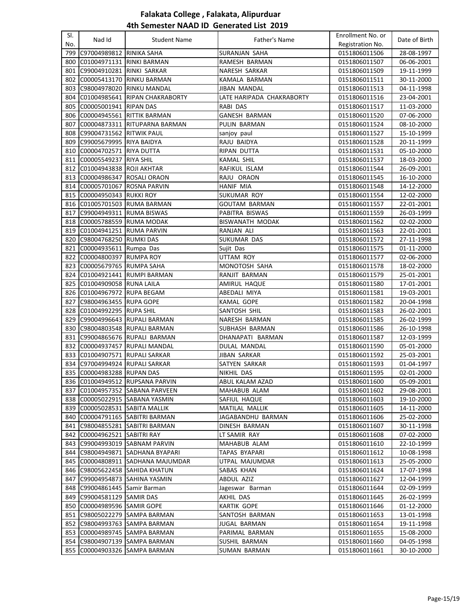| SI.   |                                |                                   |                           | Enrollment No. or |               |
|-------|--------------------------------|-----------------------------------|---------------------------|-------------------|---------------|
| No.   | Nad Id                         | <b>Student Name</b>               | Father's Name             | Registration No.  | Date of Birth |
| 799   | C97004989812                   | RINIKA SAHA                       | SURANJAN SAHA             | 0151806011506     | 28-08-1997    |
| 800   | C01004971131 RINKI BARMAN      |                                   | RAMESH BARMAN             | 0151806011507     | 06-06-2001    |
| 801   | C99004910281                   | RINKI SARKAR                      | NARESH SARKAR             | 0151806011509     | 19-11-1999    |
| 802   | C00005413170                   | <b>RINKU BARMAN</b>               | KAMALA BARMAN             | 0151806011511     | 30-11-2000    |
| 803   | C98004978020                   | <b>RINKU MANDAL</b>               | <b>JIBAN MANDAL</b>       | 0151806011513     | 04-11-1998    |
| 804 l | C01004985641                   | <b>RIPAN CHAKRABORTY</b>          | LATE HARIPADA CHAKRABORTY | 0151806011516     | 23-04-2001    |
| 805   | C00005001941                   | <b>RIPAN DAS</b>                  | RABI DAS                  | 0151806011517     | 11-03-2000    |
| 806   | C00004945561                   | <b>RITTIK BARMAN</b>              | <b>GANESH BARMAN</b>      | 0151806011520     | 07-06-2000    |
| 807   | C00004873311                   | <b>RITUPARNA BARMAN</b>           | PULIN BARMAN              | 0151806011524     | 08-10-2000    |
| 808   | C99004731562                   | <b>RITWIK PAUL</b>                | sanjoy paul               | 0151806011527     | 15-10-1999    |
| 809   | C99005679995 RIYA BAIDYA       |                                   | RAJU BAIDYA               | 0151806011528     | 20-11-1999    |
|       | C00004702571                   | <b>RIYA DUTTA</b>                 | RIPAN DUTTA               | 0151806011531     | 05-10-2000    |
| 810   |                                |                                   |                           |                   |               |
| 811   | C00005549237                   | <b>RIYA SHIL</b>                  | KAMAL SHIL                | 0151806011537     | 18-03-2000    |
| 812   | C01004943838                   | <b>ROJI AKHTAR</b>                | RAFIKUL ISLAM             | 0151806011544     | 26-09-2001    |
| 813   | C00004986347  ROSALI ORAON     |                                   | RAJU ORAON                | 0151806011545     | 16-10-2000    |
| 814   | C00005701067                   | <b>ROSNA PARVIN</b>               | <b>HANIF MIA</b>          | 0151806011548     | 14-12-2000    |
|       | 815 C00004950343 RUKKI ROY     |                                   | SUKUMAR ROY               | 0151806011554     | 12-02-2000    |
|       |                                | 816 C01005701503 RUMA BARMAN      | <b>GOUTAM BARMAN</b>      | 0151806011557     | 22-01-2001    |
| 817   | C99004949311 RUMA BISWAS       |                                   | PABITRA BISWAS            | 0151806011559     | 26-03-1999    |
|       | 818 C00005788559 RUMA MODAK    |                                   | <b>BISWANATH MODAK</b>    | 0151806011562     | 02-02-2000    |
|       | 819 C01004941251 RUMA PARVIN   |                                   | RANJAN ALI                | 0151806011563     | 22-01-2001    |
|       | 820 C98004768250 RUMKI DAS     |                                   | SUKUMAR DAS               | 0151806011572     | 27-11-1998    |
| 821   | C00004935611 Rumpa Das         |                                   | Sujit Das                 | 0151806011575     | 01-11-2000    |
| 822   | C00004800397 RUMPA ROY         |                                   | UTTAM ROY                 | 0151806011577     | 02-06-2000    |
| 823   | C00005679765 RUMPA SAHA        |                                   | MONOTOSH SAHA             | 0151806011578     | 18-02-2000    |
|       |                                | 824 C01004921441 RUMPI BARMAN     | RANJIT BARMAN             | 0151806011579     | 25-01-2001    |
|       | 825 C01004909058 RUNA LAILA    |                                   | AMIRUL HAQUE              | 0151806011580     | 17-01-2001    |
|       | 826 C01004967972 RUPA BEGAM    |                                   | ABEDALI MIYA              | 0151806011581     | 19-03-2001    |
| 827   | C98004963455 RUPA GOPE         |                                   | KAMAL GOPE                | 0151806011582     | 20-04-1998    |
| 828   | C01004992295 RUPA SHIL         |                                   | SANTOSH SHIL              | 0151806011583     | 26-02-2001    |
| 829   |                                | C99004996643 RUPALI BARMAN        | NARESH BARMAN             | 0151806011585     | 26-02-1999    |
| 830   |                                | C98004803548 RUPALI BARMAN        | SUBHASH BARMAN            | 0151806011586     | 26-10-1998    |
|       |                                | 831 C99004865676 RUPALI BARMAN    | DHANAPATI BARMAN          | 0151806011587     | 12-03-1999    |
|       |                                | 832 C00004937457 RUPALI MANDAL    | DULAL MANDAL              | 0151806011590     | 05-01-2000    |
|       | 833 C01004907571 RUPALI SARKAR |                                   | JIBAN SARKAR              | 0151806011592     | 25-03-2001    |
| 834   | C97004994924 RUPALI SARKAR     |                                   | SATYEN SARKAR             | 0151806011593     | 01-04-1997    |
|       | 835 C00004983288 RUPAN DAS     |                                   | <b>NIKHIL DAS</b>         | 0151806011595     | 02-01-2000    |
|       |                                | 836 C01004949512 RUPSANA PARVIN   | ABUL KALAM AZAD           | 0151806011600     | 05-09-2001    |
|       |                                | 837  C01004957352  SABANA PARVEEN | MAHABUB ALAM              | 0151806011602     | 29-08-2001    |
| 838   |                                | C00005022915 SABANA YASMIN        | SAFIUL HAQUE              | 0151806011603     | 19-10-2000    |
| 839   | C00005028531 SABITA MALLIK     |                                   | MATILAL MALLIK            | 0151806011605     | 14-11-2000    |
| 840   |                                | C00004791165 SABITRI BARMAN       | JAGABANDHU BARMAN         | 0151806011606     | 25-02-2000    |
| 841   |                                | C98004855281 SABITRI BARMAN       | DINESH BARMAN             | 0151806011607     | 30-11-1998    |
| 842   | C00004962521 SABITRI RAY       |                                   | LT SAMIR RAY              | 0151806011608     | 07-02-2000    |
|       |                                | 843 C99004993019 SABNAM PARVIN    | MAHABUB ALAM              | 0151806011610     | 22-10-1999    |
|       | 844 C98004949871               | <b>SADHANA BYAPARI</b>            | TAPAS BYAPARI             | 0151806011612     | 10-08-1998    |
|       | 845 C00004808911               | SADHANA MAJUMDAR                  | UTPAL MAJUMDAR            | 0151806011613     | 25-05-2000    |
| 846   | C98005622458                   | <b>SAHIDA KHATUN</b>              | SABAS KHAN                | 0151806011624     | 17-07-1998    |
| 847   | C99004954873                   | SAHINA YASMIN                     | ABDUL AZIZ                | 0151806011627     | 12-04-1999    |
| 848   | C99004861445 Samir Barman      |                                   | Jageswar Barman           | 0151806011644     | 02-09-1999    |
| 849   | C99004581129 SAMIR DAS         |                                   | AKHIL DAS                 | 0151806011645     | 26-02-1999    |
|       | 850 C00004989596 SAMIR GOPE    |                                   | <b>KARTIK GOPE</b>        | 0151806011646     | 01-12-2000    |
| 851   |                                | C98005022279 SAMPA BARMAN         | SANTOSH BARMAN            | 0151806011653     | 13-01-1998    |
| 852   | C98004993763                   | <b>SAMPA BARMAN</b>               | JUGAL BARMAN              | 0151806011654     | 19-11-1998    |
| 853   | C00004989745                   | <b>SAMPA BARMAN</b>               | PARIMAL BARMAN            | 0151806011655     | 15-08-2000    |
| 854   | C98004907139                   | SAMPA BARMAN                      | SUSHIL BARMAN             | 0151806011660     | 04-05-1998    |
| 855   | C00004903326                   | <b>SAMPA BARMAN</b>               | SUMAN BARMAN              | 0151806011661     | 30-10-2000    |
|       |                                |                                   |                           |                   |               |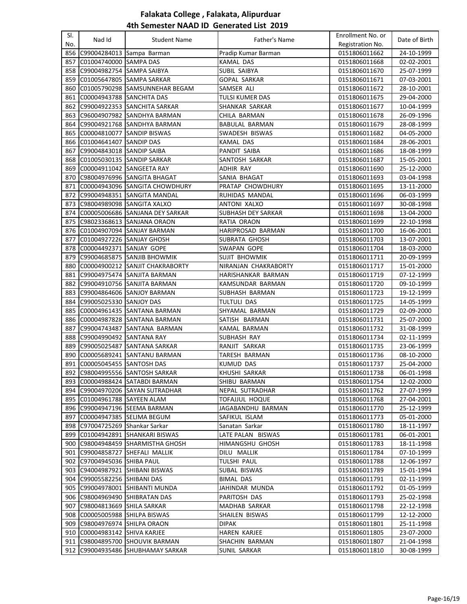| SI.        | Nad Id                           | <b>Student Name</b>                  | Father's Name             | Enrollment No. or | Date of Birth |
|------------|----------------------------------|--------------------------------------|---------------------------|-------------------|---------------|
| No.        |                                  |                                      |                           | Registration No.  |               |
| 856        |                                  | C99004284013 Sampa Barman            | Pradip Kumar Barman       | 0151806011662     | 24-10-1999    |
| 857        | C01004740000 SAMPA DAS           |                                      | KAMAL DAS                 | 0151806011668     | 02-02-2001    |
|            | 858 C99004982754 SAMPA SAIBYA    |                                      | SUBIL SAIBYA              | 0151806011670     | 25-07-1999    |
| 859        |                                  | C01005647805 SAMPA SARKAR            | <b>GOPAL SARKAR</b>       | 0151806011671     | 07-03-2001    |
|            |                                  | 860 C01005790298 SAMSUNNEHAR BEGAM   | SAMSER ALI                | 0151806011672     | 28-10-2001    |
| 861        | C00004943788 SANCHITA DAS        |                                      | TULSI KUMER DAS           | 0151806011675     | 29-04-2000    |
| 862        |                                  | C99004922353 SANCHITA SARKAR         | SHANKAR SARKAR            | 0151806011677     | 10-04-1999    |
| 863        |                                  | C96004907982 SANDHYA BARMAN          | CHILA BARMAN              | 0151806011678     | 26-09-1996    |
| 864        |                                  | C99004921768 SANDHYA BARMAN          | <b>BABULAL BARMAN</b>     | 0151806011679     | 28-08-1999    |
| 865        |                                  | C00004810077 SANDIP BISWAS           | SWADESH BISWAS            | 0151806011682     | 04-05-2000    |
| 866        | C01004641407 SANDIP DAS          |                                      | KAMAL DAS                 | 0151806011684     | 28-06-2001    |
| 867        | C99004843018 SANDIP SAIBA        |                                      | PANDIT SAIBA              | 0151806011686     | 18-08-1999    |
| 868        |                                  | C01005030135 SANDIP SARKAR           | SANTOSH SARKAR            | 0151806011687     | 15-05-2001    |
| 869        | C00004911042 SANGEETA RAY        |                                      | ADHIR RAY                 | 0151806011690     | 25-12-2000    |
| 870        |                                  | C98004976996 SANGITA BHAGAT          | SANIA BHAGAT              | 0151806011693     | 03-04-1998    |
| 871        |                                  | C00004943096 SANGITA CHOWDHURY       | PRATAP CHOWDHURY          | 0151806011695     | 13-11-2000    |
| 872        |                                  | C99004948351 SANGITA MANDAL          | RUHIDAS MANDAL            | 0151806011696     | 06-03-1999    |
| 873        |                                  | C98004989098 SANGITA XALXO           | ANTONI XALXO              | 0151806011697     | 30-08-1998    |
|            |                                  | 874 C00005006686 SANJANA DEY SARKAR  | <b>SUBHASH DEY SARKAR</b> | 0151806011698     | 13-04-2000    |
|            |                                  | 875 C98023368613 SANJANA ORAON       | RATIA ORAON               | 0151806011699     | 22-10-1998    |
|            |                                  | 876 C01004907094 SANJAY BARMAN       | <b>HARIPROSAD BARMAN</b>  | 0151806011700     | 16-06-2001    |
| 877        | C01004927226 SANJAY GHOSH        |                                      | SUBRATA GHOSH             | 0151806011703     | 13-07-2001    |
| 878        | C00004492371 SANJAY GOPE         |                                      | SWAPAN GOPE               | 0151806011704     | 18-03-2000    |
| 879        |                                  | C99004685875  SANJIB BHOWMIK         | <b>SUJIT BHOWMIK</b>      | 0151806011711     | 20-09-1999    |
| 880        |                                  | C00004900212 SANJIT CHAKRABORTY      | NIRANJAN CHAKRABORTY      | 0151806011717     | 15-01-2000    |
| 881        |                                  | C99004975474 SANJITA BARMAN          | HARISHANKAR BARMAN        | 0151806011719     | 07-12-1999    |
| 882        |                                  | C99004910756 SANJITA BARMAN          | KAMSUNDAR BARMAN          | 0151806011720     | 09-10-1999    |
| 883        |                                  | C99004864606 SANJOY BARMAN           | SUBHASH BARMAN            | 0151806011723     | 19-12-1999    |
|            | 884 C99005025330 SANJOY DAS      |                                      | TULTULI DAS               | 0151806011725     | 14-05-1999    |
| 885        |                                  | C00004961435 SANTANA BARMAN          | SHYAMAL BARMAN            | 0151806011729     | 02-09-2000    |
| 886        |                                  | C00004987828 SANTANA BARMAN          | SATISH BARMAN             | 0151806011731     | 25-07-2000    |
| 887        |                                  | C99004743487  SANTANA BARMAN         | KAMAL BARMAN              | 0151806011732     | 31-08-1999    |
| 888        | C99004990492   SANTANA RAY       |                                      | SUBHASH RAY               | 0151806011734     | 02-11-1999    |
| 889        |                                  | C99005025487 SANTANA SARKAR          | RANJIT SARKAR             | 0151806011735     | 23-06-1999    |
| 890        |                                  | C00005689241 SANTANU BARMAN          | TARESH BARMAN             | 0151806011736     | 08-10-2000    |
|            | 891 C00005045455 SANTOSH DAS     |                                      | <b>KUMUD DAS</b>          | 0151806011737     | 25-04-2000    |
|            |                                  | 892 C98004995556 SANTOSH SARKAR      | KHUSHI SARKAR             | 0151806011738     | 06-01-1998    |
|            |                                  | 893 C00004988424 SATABDI BARMAN      | SHIBU BARMAN              | 0151806011754     | 12-02-2000    |
|            |                                  | 894   C99004970206   SAYAN SUTRADHAR | NEPAL SUTRADHAR           | 0151806011762     | 27-07-1999    |
|            | 895 C01004961788 SAYEEN ALAM     |                                      | <b>TOFAJJUL HOQUE</b>     | 0151806011768     | 27-04-2001    |
|            |                                  | 896 C99004947196 SEEMA BARMAN        | JAGABANDHU BARMAN         | 0151806011770     | 25-12-1999    |
| 897        |                                  | C00004947385  SELIMA BEGUM           | SAFIKUL ISLAM             | 0151806011773     | 05-01-2000    |
| 898        | C97004725269 Shankar Sarkar      |                                      | Sanatan Sarkar            | 0151806011780     | 18-11-1997    |
|            |                                  | 899 C01004942891 SHANKARI BISWAS     | LATE PALAN BISWAS         | 0151806011781     | 06-01-2001    |
|            |                                  | 900 C98004948459 SHARMISTHA GHOSH    | HIMANGSHU GHOSH           | 0151806011783     | 18-11-1998    |
|            |                                  | 901 C99004858727 SHEFALI MALLIK      | DILU MALLIK               | 0151806011784     | 07-10-1999    |
|            | 902 C97004945036 SHIBA PAUL      |                                      | TULSHI PAUL               | 0151806011788     | 12-06-1997    |
|            |                                  | 903 C94004987921 SHIBANI BISWAS      | SUBAL BISWAS              | 0151806011789     | 15-01-1994    |
|            | 904   C99005582256   SHIBANI DAS |                                      | BIMAL DAS                 | 0151806011791     | 02-11-1999    |
|            |                                  | 905   C99004978001   SHIBANTI MUNDA  | JAHINDAR MUNDA            | 0151806011792     | 01-05-1999    |
|            |                                  | 906 C98004969490 SHIBRATAN DAS       | PARITOSH DAS              | 0151806011793     | 25-02-1998    |
| 907        | C98004813669 SHILA SARKAR        |                                      | MADHAB SARKAR             | 0151806011798     | 22-12-1998    |
|            |                                  | 908 C00005005988 SHILPA BISWAS       | SHAILEN BISWAS            | 0151806011799     | 12-12-2000    |
|            | 909 C98004976974 SHILPA ORAON    |                                      | <b>DIPAK</b>              | 0151806011801     | 25-11-1998    |
|            | 910 C00004983142 SHIVA KARJEE    |                                      | HAREN KARJEE              | 0151806011805     | 23-07-2000    |
| 911<br>912 |                                  | C98004895700 SHOUVIK BARMAN          | SHACHIN BARMAN            | 0151806011807     | 21-04-1998    |
|            |                                  | C99004935486 SHUBHAMAY SARKAR        | SUNIL SARKAR              | 0151806011810     | 30-08-1999    |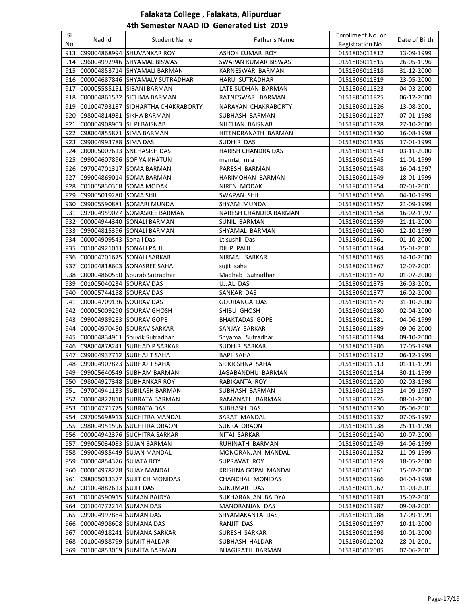| SI.        |                                                    |                                       |                           | Enrollment No. or              |                          |
|------------|----------------------------------------------------|---------------------------------------|---------------------------|--------------------------------|--------------------------|
| No.        | Nad Id                                             | <b>Student Name</b>                   | Father's Name             | Registration No.               | Date of Birth            |
| 913        |                                                    | IC99004868994 ISHUVANKAR ROY          | ASHOK KUMAR ROY           | 0151806011812                  | 13-09-1999               |
| 914        |                                                    | C96004992946  SHYAMAL BISWAS          | SWAPAN KUMAR BISWAS       | 0151806011815                  | 26-05-1996               |
| 915        |                                                    | C00004853714 SHYAMALI BARMAN          | KARNESWAR BARMAN          | 0151806011818                  | 31-12-2000               |
| 916        |                                                    | C00004687846 SHYAMALY SUTRADHAR       | <b>HARU SUTRADHAR</b>     | 0151806011819                  | 23-05-2000               |
| 917        |                                                    | C00005585151 SIBANI BARMAN            | LATE SUDHAN BARMAN        | 0151806011823                  | 04-03-2000               |
| 918        |                                                    | C00004861532 SICHMA BARMAN            | RATNESWAR BARMAN          | 0151806011825                  | 06-12-2000               |
| 919        |                                                    | C01004793187  SIDHARTHA CHAKRABORTY   | NARAYAN CHAKRABORTY       | 0151806011826                  | 13-08-2001               |
| 920        | C98004814981                                       | <b>SIKHA BARMAN</b>                   | SUBHASH BARMAN            | 0151806011827                  | 07-01-1998               |
| 921        | C00004908903 SILPI BAISNAB                         |                                       | NILCHAN BAISNAB           | 0151806011828                  | 27-10-2000               |
| 922        | C98004855871 SIMA BARMAN                           |                                       | HITENDRANATH BARMAN       | 0151806011830                  | 16-08-1998               |
| 923        | C99004993788 SIMA DAS                              |                                       | <b>SUDHIR DAS</b>         | 0151806011835                  | 17-01-1999               |
| 924        |                                                    | C00005007613 SNEHASISH DAS            | <b>HARISH CHANDRA DAS</b> | 0151806011843                  | 03-11-2000               |
| 925        |                                                    | C99004607896 SOFIYA KHATUN            | mamtaj mia                | 0151806011845                  | 11-01-1999               |
| 926        | C97004701317                                       | <b>SOMA BARMAN</b>                    | PARESH BARMAN             | 0151806011848                  | 16-04-1997               |
| 927        |                                                    | C99004869014 SOMA BARMAN              | HARIMOHAN BARMAN          | 0151806011849                  |                          |
|            |                                                    |                                       |                           | 0151806011854                  | 18-01-1999               |
| 928        | C01005830368 SOMA MODAK                            |                                       | NIREN MODAK               |                                | 02-01-2001               |
| 929        | C99005019280 SOMA SHIL                             |                                       | SWAPAN SHIL               | 0151806011856                  | 04-10-1999               |
| 930        |                                                    | C99005590881 SOMARI MUNDA             | SHYAM MUNDA               | 0151806011857                  | 21-09-1999               |
|            | 931 C97004959027                                   | <b>SOMASREE BARMAN</b>                | NARESH CHANDRA BARMAN     | 0151806011858                  | 16-02-1997               |
|            |                                                    | 932 C00004944340 SONALI BARMAN        | <b>SUNIL BARMAN</b>       | 0151806011859                  | 21-11-2000               |
| 933        |                                                    | C99004815396 SONALI BARMAN            | SHYAMAL BARMAN            | 0151806011860                  | 12-10-1999               |
| 934        | C00004909543 Sonali Das                            |                                       | Lt sushil Das             | 0151806011861                  | 01-10-2000               |
| 935        | C01004921011 SONALI PAUL                           |                                       | DILIP PAUL                | 0151806011864                  | 15-01-2001               |
|            |                                                    | 936 C00004701625 SONALI SARKAR        | NIRMAL SARKAR             | 0151806011865                  | 14-10-2000               |
| 937        |                                                    | C01004818603 SONASREE SAHA            | sujit saha                | 0151806011867                  | 12-07-2001               |
| 938        |                                                    | C00004860550 Sourab Sutradhar         | Madhab Sutradhar          | 0151806011870                  | 01-07-2000               |
| 939<br>940 | C01005040234 SOURAV DAS                            |                                       | UJJAL DAS<br>SANKAR DAS   | 0151806011875                  | 26-03-2001               |
| 941        | C00005744158 SOURAV DAS<br>C00004709136 SOURAV DAS |                                       | <b>GOURANGA DAS</b>       | 0151806011877<br>0151806011879 | 16-02-2000<br>31-10-2000 |
| 942        |                                                    | C00005009290 SOURAV GHOSH             | SHIBU GHOSH               | 0151806011880                  | 02-04-2000               |
| 943        | C99004989283 SOURAV GOPE                           |                                       | <b>BHAKTADAS GOPE</b>     | 0151806011881                  | 04-06-1999               |
| 944        |                                                    | C00004970450 SOURAV SARKAR            | SANJAY SARKAR             | 0151806011889                  | 09-06-2000               |
| 945        |                                                    | C00004834961 Souvik Sutradhar         | Shyamal Sutradhar         | 0151806011894                  | 09-10-2000               |
| 946        |                                                    | C98004878241 SUBHADIP SARKAR          | SUDHIR SARKAR             | 0151806011906                  | 17-05-1998               |
| 947        |                                                    | C99004937712 SUBHAJIT SAHA            | <b>BAPI SAHA</b>          | 0151806011912                  | 06-12-1999               |
|            |                                                    | 948 C99004907823 SUBHAJIT SAHA        | SRIKRISHNA SAHA           | 0151806011913                  | 01-11-1999               |
|            |                                                    | 949 C99005640549 SUBHAM BARMAN        | JAGABANDHU BARMAN         | 0151806011914                  | 30-11-1999               |
|            |                                                    | 950 C98004927348 SUBHANKAR ROY        | RABIKANTA ROY             | 0151806011920                  | 02-03-1998               |
|            |                                                    | 951 C97004941133 SUBILASH BARMAN      | SUBHASH BARMAN            | 0151806011925                  | 14-09-1997               |
|            |                                                    | 952  C00004822810  SUBRATA BARMAN     | RAMANATH BARMAN           | 0151806011926                  | 08-01-2000               |
|            | 953 C01004771775 SUBRATA DAS                       |                                       | SUBHASH DAS               | 0151806011930                  | 05-06-2001               |
|            |                                                    | 954 C97005698913 SUCHITRA MANDAL      | SARAT MANDAL              | 0151806011937                  | 07-05-1997               |
|            |                                                    | 955 C98004951596 SUCHITRA ORAON       | <b>SUKRA ORAON</b>        | 0151806011938                  | 25-11-1998               |
|            |                                                    | 956 C00004942376 SUCHITRA SARKAR      | NITAI SARKAR              | 0151806011940                  | 10-07-2000               |
|            |                                                    | 957 C99005034083 SUJAN BARMAN         | RUHINATH BARMAN           | 0151806011949                  | 14-06-1999               |
|            |                                                    | 958 C99004985449 SUJAN MANDAL         | MONORANJAN MANDAL         | 0151806011952                  | 11-09-1999               |
|            | 959 C00004854376 SUJATA ROY                        |                                       | SUPRAVAT ROY              | 0151806011959                  | 18-05-2000               |
|            |                                                    | 960 C00004978278 SUJAY MANDAL         | KRISHNA GOPAL MANDAL      | 0151806011961                  | 15-02-2000               |
|            |                                                    | 961   C98005013377   SUJIT CH MONIDAS | CHANCHAL MONIDAS          | 0151806011966                  | 04-04-1998               |
|            | 962 C01004882613 SUJIT DAS                         |                                       | SUKUMAR DAS               | 0151806011967                  | 11-03-2001               |
|            |                                                    | 963 C01004590915 SUMAN BAIDYA         | SUKHARANJAN BAIDYA        | 0151806011983                  | 15-02-2001               |
|            | 964 C01004772214 SUMAN DAS                         |                                       | MANORANJAN DAS            | 0151806011987                  | 09-08-2001               |
|            | 965 C99004997884 SUMAN DAS                         |                                       | SHYAMAKANTA DAS           | 0151806011988                  | 17-09-1999               |
|            | 966 C00004908608 SUMANA DAS                        |                                       | RANJIT DAS                | 0151806011997                  | 10-11-2000               |
| 967        |                                                    | C00004918241 SUMANA SARKAR            | SURESH SARKAR             | 0151806011998                  | 10-01-2000               |
| 968        | C01004988799                                       | <b>SUMIT HALDAR</b>                   | SUBHASH HALDAR            | 0151806012002                  | 28-01-2001               |
| 969        |                                                    | C01004853069 SUMITA BARMAN            | BHAGIRATH BARMAN          | 0151806012005                  | 07-06-2001               |
|            |                                                    |                                       |                           |                                |                          |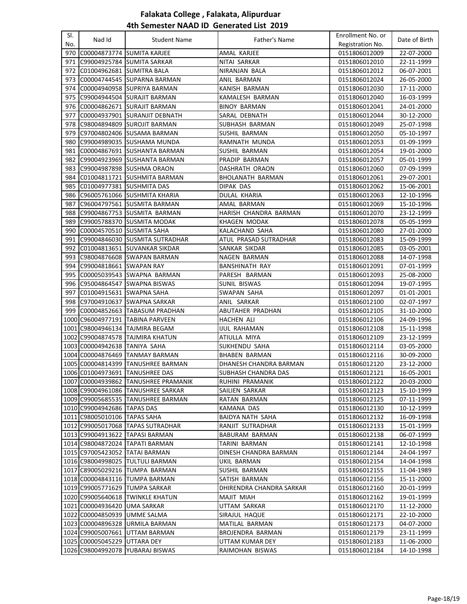| SI. |                               |                                      |                          | Enrollment No. or |               |
|-----|-------------------------------|--------------------------------------|--------------------------|-------------------|---------------|
| No. | Nad Id                        | <b>Student Name</b>                  | Father's Name            | Registration No.  | Date of Birth |
| 970 | C00004873774 SUMITA KARJEE    |                                      | AMAL KARJEE              | 0151806012009     | 22-07-2000    |
| 971 |                               | C99004925784  SUMITA SARKAR          | NITAI SARKAR             | 0151806012010     | 22-11-1999    |
| 972 | C01004962681 SUMITRA BALA     |                                      | NIRANJAN BALA            | 0151806012012     | 06-07-2001    |
| 973 |                               | C00004744545 SUPARNA BARMAN          | <b>ANIL BARMAN</b>       | 0151806012024     | 26-05-2000    |
| 974 |                               | C00004940958  SUPRIYA BARMAN         | KANISH BARMAN            | 0151806012030     | 17-11-2000    |
| 975 |                               | C99004944504 SURAJIT BARMAN          | KAMALESH BARMAN          | 0151806012040     | 16-03-1999    |
| 976 |                               | C00004862671 SURAJIT BARMAN          | <b>BINOY BARMAN</b>      | 0151806012041     | 24-01-2000    |
| 977 |                               | C00004937901 SURANJIT DEBNATH        | SARAL DEBNATH            | 0151806012044     | 30-12-2000    |
| 978 |                               | C98004894809 SUROJIT BARMAN          | SUBHASH BARMAN           | 0151806012049     | 25-07-1998    |
| 979 |                               | C97004802406 SUSAMA BARMAN           | SUSHIL BARMAN            | 0151806012050     | 05-10-1997    |
| 980 |                               | C99004989035 SUSHAMA MUNDA           | RAMNATH MUNDA            | 0151806012053     | 01-09-1999    |
| 981 |                               | C00004867691 SUSHANTA BARMAN         | SUSHIL BARMAN            | 0151806012054     | 19-01-2000    |
| 982 |                               | C99004923969  SUSHANTA BARMAN        | PRADIP BARMAN            | 0151806012057     | 05-01-1999    |
| 983 |                               | C99004987898  SUSHMA ORAON           | DASHRATH ORAON           | 0151806012060     | 07-09-1999    |
| 984 |                               | C01004811721 SUSHMITA BARMAN         | BHOLANATH BARMAN         | 0151806012061     | 29-07-2001    |
| 985 | C01004977381                  | <b>SUSHMITA DAS</b>                  | DIPAK DAS                | 0151806012062     | 15-06-2001    |
| 986 |                               | C96005761066 SUSHMITA KHARIA         | DULAL KHARIA             | 0151806012063     | 12-10-1996    |
| 987 |                               | C96004797561 SUSMITA BARMAN          | AMAL BARMAN              | 0151806012069     | 15-10-1996    |
| 988 |                               | C99004867753  SUSMITA BARMAN         | HARISH CHANDRA BARMAN    | 0151806012070     | 23-12-1999    |
| 989 |                               | C99005788370  SUSMITA MODAK          | KHAGEN MODAK             | 0151806012078     | 05-05-1999    |
| 990 | C00004570510 SUSMITA SAHA     |                                      | KALACHAND SAHA           | 0151806012080     | 27-01-2000    |
| 991 |                               | C99004846030 SUSMITA SUTRADHAR       | ATUL PRASAD SUTRADHAR    | 0151806012083     | 15-09-1999    |
| 992 |                               | C01004813651 SUVANKAR SIKDAR         | SANKAR SIKDAR            | 0151806012085     | 03-05-2001    |
| 993 |                               | C98004876608 SWAPAN BARMAN           | NAGEN BARMAN             | 0151806012088     | 14-07-1998    |
| 994 | C99004818661 SWAPAN RAY       |                                      | <b>BANSHINATH RAY</b>    | 0151806012091     | 07-01-1999    |
| 995 |                               | C00005039543 SWAPNA BARMAN           | PARESH BARMAN            | 0151806012093     | 25-08-2000    |
|     |                               | 996  C95004864547  SWAPNA BISWAS     | <b>SUNIL BISWAS</b>      | 0151806012094     | 19-07-1995    |
| 997 | C01004915631  SWAPNA SAHA     |                                      | SWAPAN SAHA              | 0151806012097     | 01-01-2001    |
| 998 | C97004910637                  | <b>SWAPNA SARKAR</b>                 | ANIL SARKAR              | 0151806012100     | 02-07-1997    |
| 999 |                               | C00004852663  TABASUM PRADHAN        | ABUTAHER PRADHAN         | 0151806012105     | 31-10-2000    |
|     |                               | 1000 C96004977191 TABINA PARVEEN     | HACHEN ALI               | 0151806012106     | 24-09-1996    |
|     |                               | 1001 C98004946134 TAJMIRA BEGAM      | IJUL RAHAMAN             | 0151806012108     | 15-11-1998    |
|     |                               | 1002 C99004874578 TAJMIRA KHATUN     | ATIULLA MIYA             | 0151806012109     | 23-12-1999    |
|     | 1003 C00004942638 TANIYA SAHA |                                      | SUKHENDU SAHA            | 0151806012114     | 03-05-2000    |
|     |                               | 1004 C00004876469 TANMAY BARMAN      | <b>BHABEN BARMAN</b>     | 0151806012116     | 30-09-2000    |
|     |                               | 1005 C00004814399 TANUSHREE BARMAN   | DHANESH CHANDRA BARMAN   | 0151806012120     | 23-12-2000    |
|     |                               | 1006 C01004973691 TANUSHREE DAS      | SUBHASH CHANDRA DAS      | 0151806012121     | 16-05-2001    |
|     |                               | 1007 C00004939862 TANUSHREE PRAMANIK | RUHINI PRAMANIK          | 0151806012122     | 20-03-2000    |
|     |                               | 1008 C99004961086 TANUSHREE SARKAR   | SAILIEN SARKAR           | 0151806012123     | 15-10-1999    |
|     |                               | 1009 C99005685535 TANUSHREE BARMAN   | RATAN BARMAN             | 0151806012125     | 07-11-1999    |
|     | 1010 C99004942686 TAPAS DAS   |                                      | KAMANA DAS               | 0151806012130     | 10-12-1999    |
|     | 1011 C98005010106 TAPAS SAHA  |                                      | BAIDYA NATH SAHA         | 0151806012132     | 16-09-1998    |
|     |                               | 1012 C99005017068 TAPAS SUTRADHAR    | RANJIT SUTRADHAR         | 0151806012133     | 15-01-1999    |
|     |                               | 1013 C99004913622 TAPASI BARMAN      | BABURAM BARMAN           | 0151806012138     | 06-07-1999    |
|     |                               | 1014 C98004872024 TAPATI BARMAN      | TARINI BARMAN            | 0151806012141     | 12-10-1998    |
|     |                               | 1015 C97005423052 TATAI BARMAN       | DINESH CHANDRA BARMAN    | 0151806012144     | 24-04-1997    |
|     |                               | 1016 C98004998025 TULTULI BARMAN     | UKIL BARMAN              | 0151806012154     | 14-04-1998    |
|     |                               | 1017 C89005029216 TUMPA BARMAN       | SUSHIL BARMAN            | 0151806012155     | 11-04-1989    |
|     |                               | 1018 C00004843116 TUMPA BARMAN       | SATISH BARMAN            | 0151806012156     | 15-11-2000    |
|     |                               | 1019 C99005771629 TUMPA SARKAR       | DHIRENDRA CHANDRA SARKAR | 0151806012160     | 20-01-1999    |
|     |                               | 1020 C99005640618 TWINKLE KHATUN     | MAJIT MIAH               | 0151806012162     | 19-01-1999    |
|     | 1021 C00004936420 UMA SARKAR  |                                      | UTTAM SARKAR             | 0151806012170     | 11-12-2000    |
|     | 1022 C00004850939 UMME SALMA  |                                      | SIRAJUL HAQUE            | 0151806012171     | 22-10-2000    |
|     |                               | 1023 C00004896328 URMILA BARMAN      | MATILAL BARMAN           | 0151806012173     | 04-07-2000    |
|     |                               | 1024 C99005007661 UTTAM BARMAN       | BROJENDRA BARMAN         | 0151806012179     | 23-11-1999    |
|     | 1025 C00005045229             | UTTARA DEY                           | UTTAM KUMAR DEY          | 0151806012183     | 11-06-2000    |
|     | 1026 C98004992078             | YUBARAJ BISWAS                       | RAIMOHAN BISWAS          | 0151806012184     | 14-10-1998    |